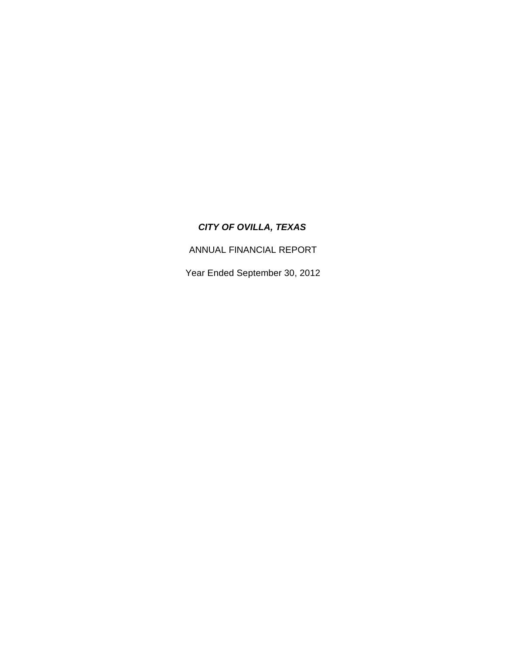ANNUAL FINANCIAL REPORT

Year Ended September 30, 2012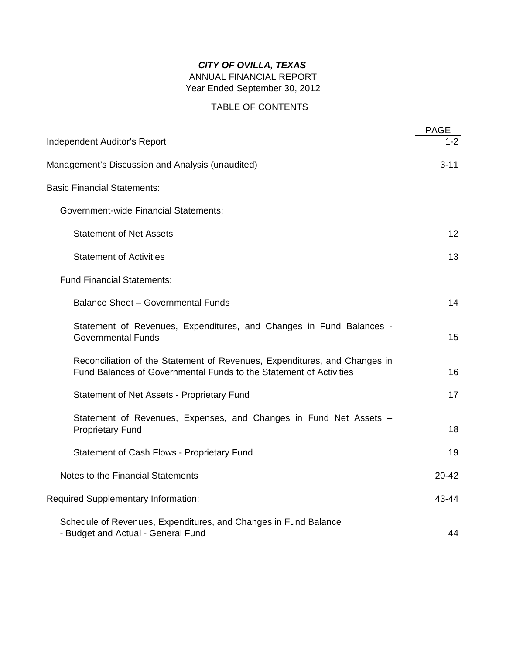ANNUAL FINANCIAL REPORT Year Ended September 30, 2012

# TABLE OF CONTENTS

|                                                                                                                                                 | <b>PAGE</b> |
|-------------------------------------------------------------------------------------------------------------------------------------------------|-------------|
| <b>Independent Auditor's Report</b>                                                                                                             | 1-2         |
| Management's Discussion and Analysis (unaudited)                                                                                                | $3 - 11$    |
| <b>Basic Financial Statements:</b>                                                                                                              |             |
| <b>Government-wide Financial Statements:</b>                                                                                                    |             |
| <b>Statement of Net Assets</b>                                                                                                                  | 12          |
| <b>Statement of Activities</b>                                                                                                                  | 13          |
| <b>Fund Financial Statements:</b>                                                                                                               |             |
| <b>Balance Sheet - Governmental Funds</b>                                                                                                       | 14          |
| Statement of Revenues, Expenditures, and Changes in Fund Balances -<br><b>Governmental Funds</b>                                                | 15          |
| Reconciliation of the Statement of Revenues, Expenditures, and Changes in<br>Fund Balances of Governmental Funds to the Statement of Activities | 16          |
| Statement of Net Assets - Proprietary Fund                                                                                                      | 17          |
| Statement of Revenues, Expenses, and Changes in Fund Net Assets -<br><b>Proprietary Fund</b>                                                    | 18          |
| Statement of Cash Flows - Proprietary Fund                                                                                                      | 19          |
| Notes to the Financial Statements                                                                                                               | $20 - 42$   |
| Required Supplementary Information:                                                                                                             | 43-44       |
| Schedule of Revenues, Expenditures, and Changes in Fund Balance<br>- Budget and Actual - General Fund                                           | 44          |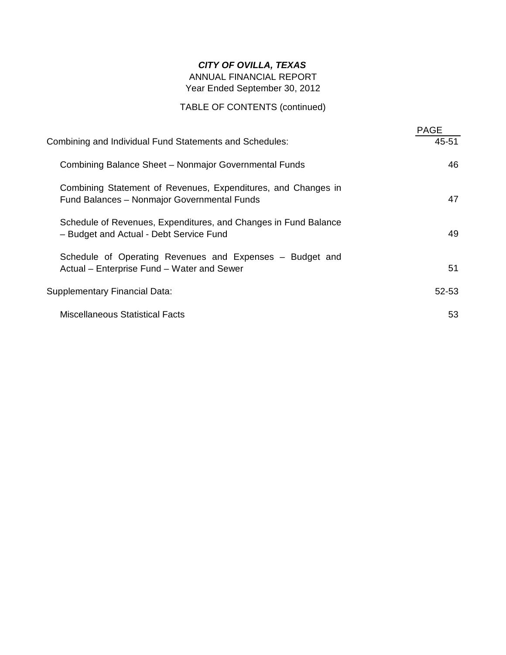# ANNUAL FINANCIAL REPORT

# Year Ended September 30, 2012

# TABLE OF CONTENTS (continued)

|                                                                                                              | <b>PAGE</b> |
|--------------------------------------------------------------------------------------------------------------|-------------|
| Combining and Individual Fund Statements and Schedules:                                                      | 45-51       |
| Combining Balance Sheet - Nonmajor Governmental Funds                                                        | 46          |
| Combining Statement of Revenues, Expenditures, and Changes in<br>Fund Balances - Nonmajor Governmental Funds | 47          |
| Schedule of Revenues, Expenditures, and Changes in Fund Balance<br>- Budget and Actual - Debt Service Fund   | 49          |
| Schedule of Operating Revenues and Expenses – Budget and<br>Actual – Enterprise Fund – Water and Sewer       | 51          |
| <b>Supplementary Financial Data:</b>                                                                         | 52-53       |
| Miscellaneous Statistical Facts                                                                              | 53          |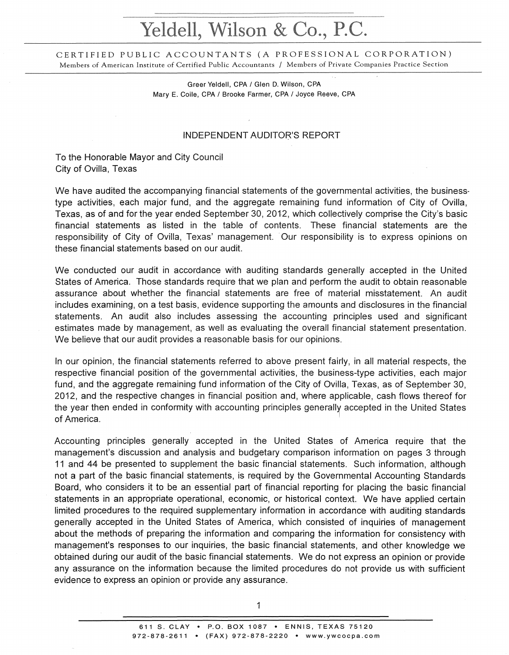# Yeldell, Wilson & Co., P.C.

CERTIFIED PUBLIC ACCOUNTANTS (A PROFESSIONAL CORPORATION) Members of American Institute of Certified Public Accountants / Members of Private Companies Practice Section

> Greer Yeldell, CPA / Glen D. Wilson, CPA Mary E. Coile, CPA / Brooke Farmer, CPA / Joyce Reeve, CPA

#### INDEPENDENT AUDITOR'S REPORT

To the Honorable Mayor and City Council City of Ovilla, Texas

We have audited the accompanying financial statements of the governmental activities, the businesstype activities, each major fund, and the aggregate remaining fund information of City of Ovilla, Texas, as of and for the year ended September 30, 2012, which collectively comprise the City's basic financial statements as listed in the table of contents. These financial statements are the responsibility of City of Ovilla, Texas' management. Our responsibility is to express opinions on these financial statements based on our audit.

We conducted our audit in accordance with auditing standards generally accepted in the United States of America. Those standards require that we plan and perform the audit to obtain reasonable assurance about whether the financial statements are free of material misstatement. An audit includes examining, on a test basis, evidence supporting the amounts and disclosures in the financial statements. An audit also includes assessing the accounting principles used and significant estimates made by management, as well as evaluating the overall financial statement presentation. We believe that our audit provides a reasonable basis for our opinions.

In our opinion, the financial statements referred to above present fairly, in all material respects, the respective financial position of the governmental activities, the business-type activities, each major fund, and the aggregate remaining fund information of the City of Ovilla, Texas, as of September 30, 2012, and the respective changes in financial position and, where applicable, cash flows thereof for the year then ended in conformity with accounting principles generally accepted in the United States of America.

Accounting principles generally accepted in the United States of America require that the management's discussion and analysis and budgetary comparison information on pages 3 through 11 and 44 be presented to supplement the basic financial statements. Such information, although not a part of the basic financial statements, is required by the Governmental Accounting Standards Board, who considers it to be an essential part of financial reporting for placing the basic financial statements in an appropriate operational, economic, or historical context. We have applied certain limited procedures to the required supplementary information in accordance with auditing standards generally accepted in the United States of America, which consisted of inquiries of management about the methods of preparing the information and comparing the information for consistency with management's responses to our inquiries, the basic financial statements, and other knowledge we obtained during our audit of the basic financial statements. We do not express an opinion or provide any assurance on the information because the limited procedures do not provide us with sufficient evidence to express an opinion or provide any assurance.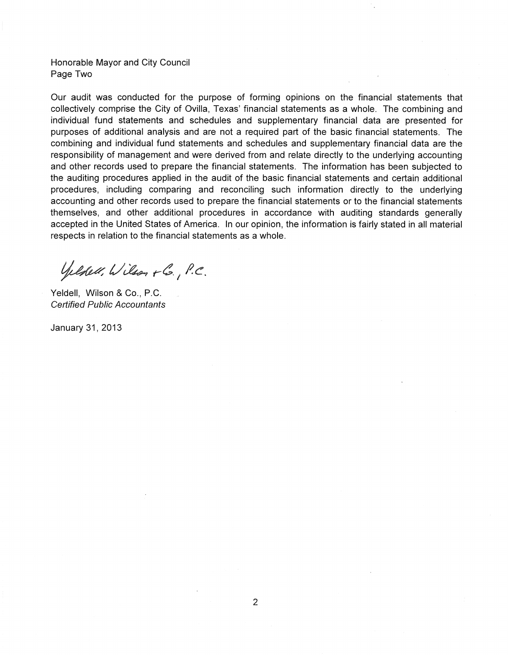#### Honorable Mayor and City Council Page Two

Our audit was conducted for the purpose of forming opinions on the financial statements that collectively comprise the City of Ovilla, Texas' financial statements as a whole. The combining and individual fund statements and schedules and supplementary financial data are presented for purposes of additional analysis and are not a required part of the basic financial statements. The combining and individual fund statements and schedules and supplementary financial data are the responsibility of management and were derived from and relate directly to the underlying accounting and other records used to prepare the financial statements. The information has been subjected to the auditing procedures applied in the audit of the basic financial statements and certain additional procedures, including comparing and reconciling such information directly to the underlying accounting and other records used to prepare the financial statements or to the financial statements themselves, and other additional procedures in accordance with auditing standards generally accepted in the United States of America. In our opinion, the information is fairly stated in all material respects in relation to the financial statements as a whole.

Yeldell, Wilson + Co., P.C.

Yeldell, Wilson & Co., P.C. Certified Public Accountants

January 31, 2013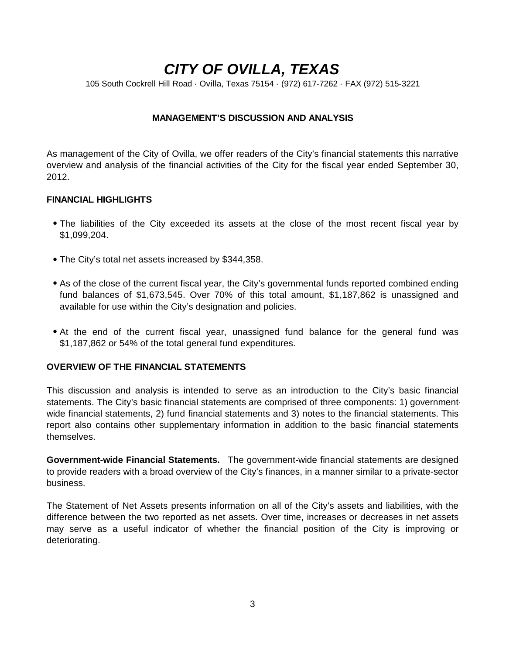105 South Cockrell Hill Road · Ovilla, Texas 75154 · (972) 617-7262 · FAX (972) 515-3221

# **MANAGEMENT'S DISCUSSION AND ANALYSIS**

As management of the City of Ovilla, we offer readers of the City's financial statements this narrative overview and analysis of the financial activities of the City for the fiscal year ended September 30, 2012.

#### **FINANCIAL HIGHLIGHTS**

- The liabilities of the City exceeded its assets at the close of the most recent fiscal year by \$1,099,204.
- The City's total net assets increased by \$344,358.
- As of the close of the current fiscal year, the City's governmental funds reported combined ending fund balances of \$1,673,545. Over 70% of this total amount, \$1,187,862 is unassigned and available for use within the City's designation and policies.
- At the end of the current fiscal year, unassigned fund balance for the general fund was \$1,187,862 or 54% of the total general fund expenditures.

#### **OVERVIEW OF THE FINANCIAL STATEMENTS**

This discussion and analysis is intended to serve as an introduction to the City's basic financial statements. The City's basic financial statements are comprised of three components: 1) governmentwide financial statements, 2) fund financial statements and 3) notes to the financial statements. This report also contains other supplementary information in addition to the basic financial statements themselves.

**Government-wide Financial Statements.** The government-wide financial statements are designed to provide readers with a broad overview of the City's finances, in a manner similar to a private-sector business.

The Statement of Net Assets presents information on all of the City's assets and liabilities, with the difference between the two reported as net assets. Over time, increases or decreases in net assets may serve as a useful indicator of whether the financial position of the City is improving or deteriorating.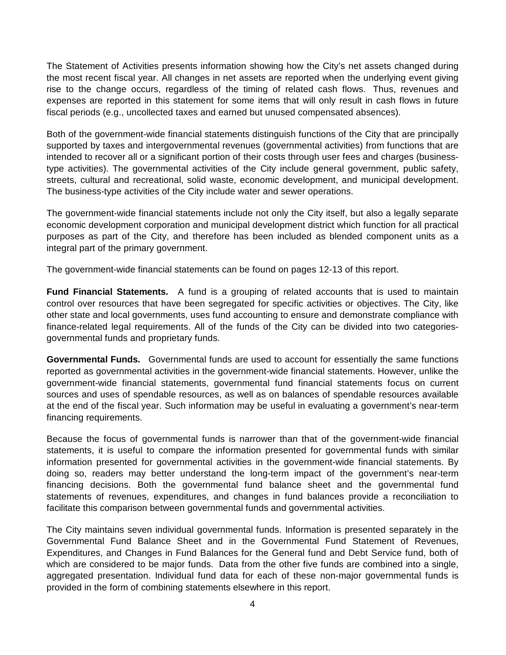The Statement of Activities presents information showing how the City's net assets changed during the most recent fiscal year. All changes in net assets are reported when the underlying event giving rise to the change occurs, regardless of the timing of related cash flows. Thus, revenues and expenses are reported in this statement for some items that will only result in cash flows in future fiscal periods (e.g., uncollected taxes and earned but unused compensated absences).

Both of the government-wide financial statements distinguish functions of the City that are principally supported by taxes and intergovernmental revenues (governmental activities) from functions that are intended to recover all or a significant portion of their costs through user fees and charges (businesstype activities). The governmental activities of the City include general government, public safety, streets, cultural and recreational, solid waste, economic development, and municipal development. The business-type activities of the City include water and sewer operations.

The government-wide financial statements include not only the City itself, but also a legally separate economic development corporation and municipal development district which function for all practical purposes as part of the City, and therefore has been included as blended component units as a integral part of the primary government.

The government-wide financial statements can be found on pages 12-13 of this report.

**Fund Financial Statements.** A fund is a grouping of related accounts that is used to maintain control over resources that have been segregated for specific activities or objectives. The City, like other state and local governments, uses fund accounting to ensure and demonstrate compliance with finance-related legal requirements. All of the funds of the City can be divided into two categoriesgovernmental funds and proprietary funds.

**Governmental Funds.** Governmental funds are used to account for essentially the same functions reported as governmental activities in the government-wide financial statements. However, unlike the government-wide financial statements, governmental fund financial statements focus on current sources and uses of spendable resources, as well as on balances of spendable resources available at the end of the fiscal year. Such information may be useful in evaluating a government's near-term financing requirements.

Because the focus of governmental funds is narrower than that of the government-wide financial statements, it is useful to compare the information presented for governmental funds with similar information presented for governmental activities in the government-wide financial statements. By doing so, readers may better understand the long-term impact of the government's near-term financing decisions. Both the governmental fund balance sheet and the governmental fund statements of revenues, expenditures, and changes in fund balances provide a reconciliation to facilitate this comparison between governmental funds and governmental activities.

The City maintains seven individual governmental funds. Information is presented separately in the Governmental Fund Balance Sheet and in the Governmental Fund Statement of Revenues, Expenditures, and Changes in Fund Balances for the General fund and Debt Service fund, both of which are considered to be major funds. Data from the other five funds are combined into a single, aggregated presentation. Individual fund data for each of these non-major governmental funds is provided in the form of combining statements elsewhere in this report.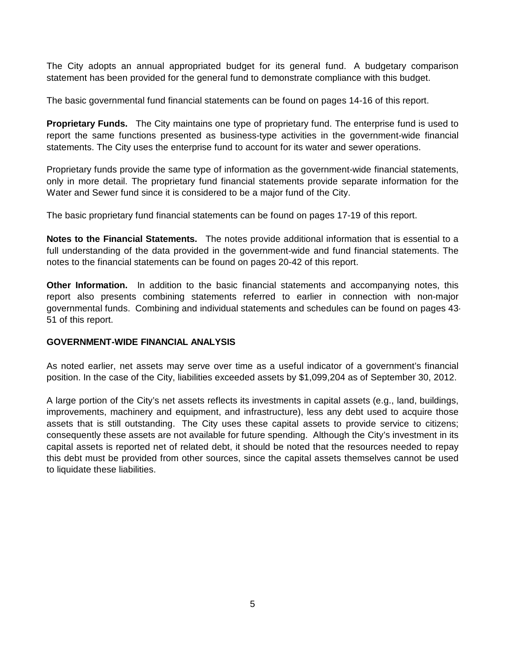The City adopts an annual appropriated budget for its general fund. A budgetary comparison statement has been provided for the general fund to demonstrate compliance with this budget.

The basic governmental fund financial statements can be found on pages 14-16 of this report.

**Proprietary Funds.** The City maintains one type of proprietary fund. The enterprise fund is used to report the same functions presented as business-type activities in the government-wide financial statements. The City uses the enterprise fund to account for its water and sewer operations.

Proprietary funds provide the same type of information as the government-wide financial statements, only in more detail. The proprietary fund financial statements provide separate information for the Water and Sewer fund since it is considered to be a major fund of the City.

The basic proprietary fund financial statements can be found on pages 17-19 of this report.

**Notes to the Financial Statements.** The notes provide additional information that is essential to a full understanding of the data provided in the government-wide and fund financial statements. The notes to the financial statements can be found on pages 20-42 of this report.

**Other Information.** In addition to the basic financial statements and accompanying notes, this report also presents combining statements referred to earlier in connection with non-major governmental funds. Combining and individual statements and schedules can be found on pages 43- 51 of this report.

#### **GOVERNMENT-WIDE FINANCIAL ANALYSIS**

As noted earlier, net assets may serve over time as a useful indicator of a government's financial position. In the case of the City, liabilities exceeded assets by \$1,099,204 as of September 30, 2012.

A large portion of the City's net assets reflects its investments in capital assets (e.g., land, buildings, improvements, machinery and equipment, and infrastructure), less any debt used to acquire those assets that is still outstanding. The City uses these capital assets to provide service to citizens; consequently these assets are not available for future spending. Although the City's investment in its capital assets is reported net of related debt, it should be noted that the resources needed to repay this debt must be provided from other sources, since the capital assets themselves cannot be used to liquidate these liabilities.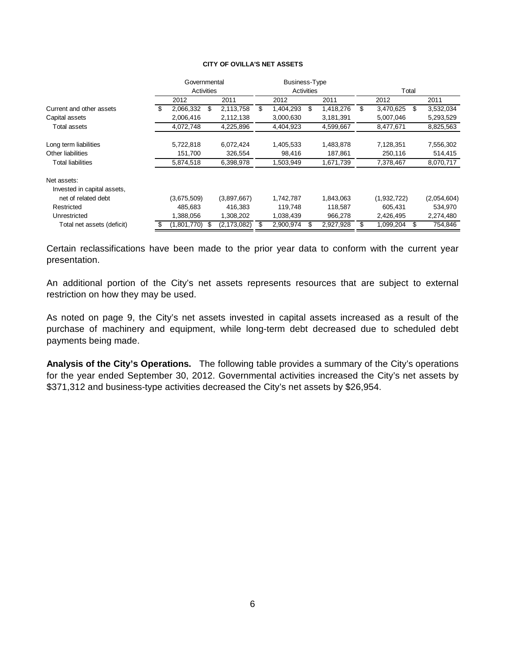|                             |   | Governmental<br>Activities |     |             |     | <b>Business-Type</b><br>Activities |    |           |    | Total       |    |             |  |
|-----------------------------|---|----------------------------|-----|-------------|-----|------------------------------------|----|-----------|----|-------------|----|-------------|--|
|                             |   | 2012                       |     | 2011        |     | 2012                               |    | 2011      |    | 2012        |    | 2011        |  |
| Current and other assets    | S | 2,066,332                  | \$. | 2,113,758   | \$. | 1,404,293                          | \$ | 1,418,276 | \$ | 3,470,625   | \$ | 3,532,034   |  |
| Capital assets              |   | 2,006,416                  |     | 2,112,138   |     | 3,000,630                          |    | 3,181,391 |    | 5,007,046   |    | 5,293,529   |  |
| <b>Total assets</b>         |   | 4,072,748                  |     | 4,225,896   |     | 4,404,923                          |    | 4,599,667 |    | 8,477,671   |    | 8,825,563   |  |
| Long term liabilities       |   | 5,722,818                  |     | 6,072,424   |     | 1,405,533                          |    | 1,483,878 |    | 7,128,351   |    | 7,556,302   |  |
| Other liabilities           |   | 151,700                    |     | 326,554     |     | 98,416                             |    | 187,861   |    | 250,116     |    | 514,415     |  |
| Total liabilities           |   | 5,874,518                  |     | 6,398,978   |     | 1,503,949                          |    | 1,671,739 |    | 7,378,467   |    | 8,070,717   |  |
| Net assets:                 |   |                            |     |             |     |                                    |    |           |    |             |    |             |  |
| Invested in capital assets. |   |                            |     |             |     |                                    |    |           |    |             |    |             |  |
| net of related debt         |   | (3,675,509)                |     | (3,897,667) |     | 1,742,787                          |    | 1,843,063 |    | (1,932,722) |    | (2,054,604) |  |
| Restricted                  |   | 485,683                    |     | 416.383     |     | 119,748                            |    | 118,587   |    | 605.431     |    | 534,970     |  |
| Unrestricted                |   | 1,388,056                  |     | 1,308,202   |     | 1,038,439                          |    | 966.278   |    | 2,426,495   |    | 2.274.480   |  |

#### **CITY OF OVILLA'S NET ASSETS**

Certain reclassifications have been made to the prior year data to conform with the current year presentation.

Total net assets (deficit)  $\overline{3}$  (1,801,770)  $\overline{3}$  (2,173,082)  $\overline{3}$  2,900,974  $\overline{3}$  2,927,928  $\overline{3}$  1,099,204  $\overline{3}$  754,846

An additional portion of the City's net assets represents resources that are subject to external restriction on how they may be used.

As noted on page 9, the City's net assets invested in capital assets increased as a result of the purchase of machinery and equipment, while long-term debt decreased due to scheduled debt payments being made.

**Analysis of the City's Operations.** The following table provides a summary of the City's operations for the year ended September 30, 2012. Governmental activities increased the City's net assets by \$371,312 and business-type activities decreased the City's net assets by \$26,954.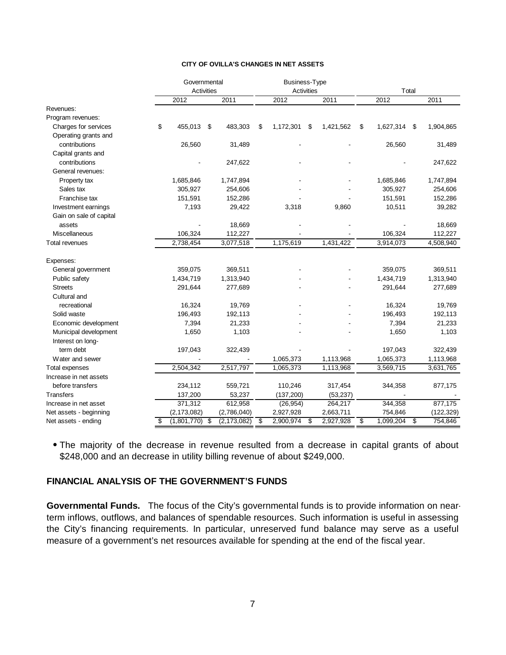|                         | Governmental      |                     | Business-Type   |                 |                 |       |            |
|-------------------------|-------------------|---------------------|-----------------|-----------------|-----------------|-------|------------|
|                         | Activities        |                     | Activities      |                 |                 | Total |            |
|                         | 2012              | 2011                | 2012            | 2011            | 2012            |       | 2011       |
| Revenues:               |                   |                     |                 |                 |                 |       |            |
| Program revenues:       |                   |                     |                 |                 |                 |       |            |
| Charges for services    | \$<br>455,013     | \$<br>483,303       | \$<br>1,172,301 | \$<br>1,421,562 | \$<br>1,627,314 | \$    | 1,904,865  |
| Operating grants and    |                   |                     |                 |                 |                 |       |            |
| contributions           | 26,560            | 31,489              |                 |                 | 26,560          |       | 31,489     |
| Capital grants and      |                   |                     |                 |                 |                 |       |            |
| contributions           |                   | 247,622             |                 |                 |                 |       | 247,622    |
| General revenues:       |                   |                     |                 |                 |                 |       |            |
| Property tax            | 1,685,846         | 1,747,894           |                 |                 | 1,685,846       |       | 1,747,894  |
| Sales tax               | 305,927           | 254,606             |                 |                 | 305,927         |       | 254,606    |
| Franchise tax           | 151,591           | 152,286             |                 |                 | 151,591         |       | 152,286    |
| Investment earnings     | 7,193             | 29,422              | 3,318           | 9,860           | 10,511          |       | 39,282     |
| Gain on sale of capital |                   |                     |                 |                 |                 |       |            |
| assets                  |                   | 18,669              |                 |                 |                 |       | 18,669     |
| Miscellaneous           | 106,324           | 112,227             |                 |                 | 106,324         |       | 112,227    |
| Total revenues          | 2,738,454         | 3,077,518           | 1,175,619       | 1,431,422       | 3,914,073       |       | 4,508,940  |
| Expenses:               |                   |                     |                 |                 |                 |       |            |
| General government      | 359,075           | 369,511             |                 |                 | 359,075         |       | 369,511    |
| Public safety           | 1,434,719         | 1,313,940           |                 |                 | 1,434,719       |       | 1,313,940  |
| <b>Streets</b>          | 291,644           | 277,689             |                 |                 | 291,644         |       | 277,689    |
| Cultural and            |                   |                     |                 |                 |                 |       |            |
| recreational            | 16,324            | 19,769              |                 |                 | 16,324          |       | 19,769     |
| Solid waste             | 196,493           | 192,113             |                 |                 | 196,493         |       | 192,113    |
| Economic development    | 7,394             | 21,233              |                 |                 | 7,394           |       | 21,233     |
| Municipal development   | 1,650             | 1,103               |                 |                 | 1,650           |       | 1,103      |
| Interest on long-       |                   |                     |                 |                 |                 |       |            |
| term debt               | 197,043           | 322,439             |                 |                 | 197,043         |       | 322,439    |
| Water and sewer         |                   |                     | 1,065,373       | 1,113,968       | 1,065,373       |       | 1,113,968  |
| Total expenses          | 2,504,342         | 2,517,797           | 1,065,373       | 1,113,968       | 3,569,715       |       | 3,631,765  |
| Increase in net assets  |                   |                     |                 |                 |                 |       |            |
| before transfers        | 234,112           | 559,721             | 110,246         | 317,454         | 344,358         |       | 877,175    |
| Transfers               | 137,200           | 53,237              | (137, 200)      | (53, 237)       |                 |       |            |
| Increase in net asset   | 371,312           | 612,958             | (26, 954)       | 264,217         | 344,358         |       | 877,175    |
| Net assets - beginning  | (2, 173, 082)     | (2,786,040)         | 2,927,928       | 2,663,711       | 754,846         |       | (122, 329) |
| Net assets - ending     | \$<br>(1,801,770) | \$<br>(2, 173, 082) | \$<br>2,900,974 | \$<br>2,927,928 | \$<br>1,099,204 | \$    | 754,846    |

#### **CITY OF OVILLA'S CHANGES IN NET ASSETS**

 The majority of the decrease in revenue resulted from a decrease in capital grants of about \$248,000 and an decrease in utility billing revenue of about \$249,000.

#### **FINANCIAL ANALYSIS OF THE GOVERNMENT'S FUNDS**

**Governmental Funds.** The focus of the City's governmental funds is to provide information on nearterm inflows, outflows, and balances of spendable resources. Such information is useful in assessing the City's financing requirements. In particular, unreserved fund balance may serve as a useful measure of a government's net resources available for spending at the end of the fiscal year.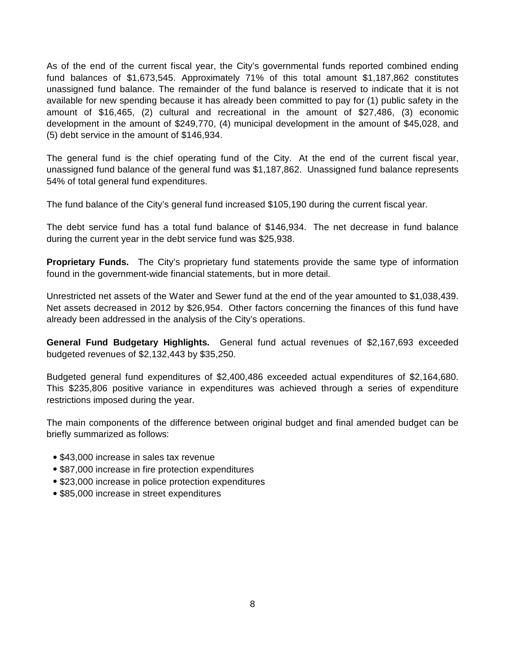As of the end of the current fiscal year, the City's governmental funds reported combined ending fund balances of \$1,673,545. Approximately 71% of this total amount \$1,187,862 constitutes unassigned fund balance. The remainder of the fund balance is reserved to indicate that it is not available for new spending because it has already been committed to pay for (1) public safety in the amount of \$16,465, (2) cultural and recreational in the amount of \$27,486, (3) economic development in the amount of \$249,770, (4) municipal development in the amount of \$45,028, and (5) debt service in the amount of \$146,934.

The general fund is the chief operating fund of the City. At the end of the current fiscal year, unassigned fund balance of the general fund was \$1,187,862. Unassigned fund balance represents 54% of total general fund expenditures.

The fund balance of the City's general fund increased \$105,190 during the current fiscal year.

The debt service fund has a total fund balance of \$146,934. The net decrease in fund balance during the current year in the debt service fund was \$25,938.

**Proprietary Funds.** The City's proprietary fund statements provide the same type of information found in the government-wide financial statements, but in more detail.

Unrestricted net assets of the Water and Sewer fund at the end of the year amounted to \$1,038,439. Net assets decreased in 2012 by \$26,954. Other factors concerning the finances of this fund have already been addressed in the analysis of the City's operations.

**General Fund Budgetary Highlights.** General fund actual revenues of \$2,167,693 exceeded budgeted revenues of \$2,132,443 by \$35,250.

Budgeted general fund expenditures of \$2,400,486 exceeded actual expenditures of \$2,164,680. This \$235,806 positive variance in expenditures was achieved through a series of expenditure restrictions imposed during the year.

The main components of the difference between original budget and final amended budget can be briefly summarized as follows:

- \$43,000 increase in sales tax revenue
- \$87,000 increase in fire protection expenditures
- \$23,000 increase in police protection expenditures
- \$85,000 increase in street expenditures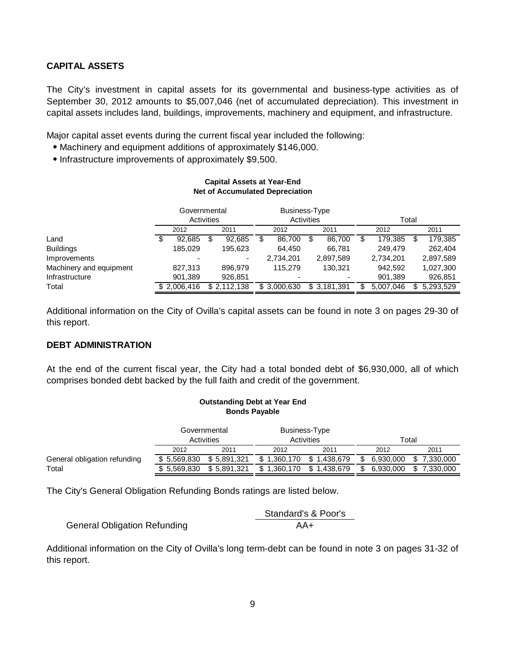## **CAPITAL ASSETS**

The City's investment in capital assets for its governmental and business-type activities as of September 30, 2012 amounts to \$5,007,046 (net of accumulated depreciation). This investment in capital assets includes land, buildings, improvements, machinery and equipment, and infrastructure.

Major capital asset events during the current fiscal year included the following:

- Machinery and equipment additions of approximately \$146,000.
- Infrastructure improvements of approximately \$9,500.

#### **Capital Assets at Year-End Net of Accumulated Depreciation**

|                         | Governmental |             | <b>Business-Type</b> |             |  |             |  |             |  |           |    |           |  |
|-------------------------|--------------|-------------|----------------------|-------------|--|-------------|--|-------------|--|-----------|----|-----------|--|
|                         |              | Activities  |                      |             |  | Activities  |  |             |  | Total     |    |           |  |
|                         |              | 2012        |                      | 2011        |  | 2012        |  | 2011        |  | 2012      |    | 2011      |  |
| Land                    |              | 92.685      |                      | 92.685      |  | 86.700      |  | 86.700      |  | 179.385   | S  | 179.385   |  |
| <b>Buildings</b>        |              | 185.029     |                      | 195,623     |  | 64,450      |  | 66,781      |  | 249,479   |    | 262,404   |  |
| Improvements            |              |             |                      |             |  | 2,734,201   |  | 2,897,589   |  | 2,734,201 |    | 2,897,589 |  |
| Machinery and equipment |              | 827,313     |                      | 896.979     |  | 115.279     |  | 130.321     |  | 942,592   |    | 1,027,300 |  |
| Infrastructure          |              | 901,389     |                      | 926,851     |  |             |  |             |  | 901,389   |    | 926,851   |  |
| Total                   |              | \$2,006,416 |                      | \$2.112.138 |  | \$3,000,630 |  | \$3,181,391 |  | 5,007,046 | \$ | 5,293,529 |  |

Additional information on the City of Ovilla's capital assets can be found in note 3 on pages 29-30 of this report.

#### **DEBT ADMINISTRATION**

At the end of the current fiscal year, the City had a total bonded debt of \$6,930,000, all of which comprises bonded debt backed by the full faith and credit of the government.

#### **Outstanding Debt at Year End Bonds Payable**

|                              | Governmental<br>Activities |             | Business-Type<br>Activities |             |  | Total     |  |           |  |
|------------------------------|----------------------------|-------------|-----------------------------|-------------|--|-----------|--|-----------|--|
|                              | 2012                       | 2011        | 2012                        | 2011        |  | 2012      |  | 2011      |  |
| General obligation refunding | \$5.569.830                | \$5.891.321 | \$1.360.170                 | \$1.438,679 |  | 6.930.000 |  | 7,330,000 |  |
| Total                        | \$5.569.830                | \$5.891.321 | \$<br>1,360,170             | .438.679    |  | 6.930.000 |  | .330.000  |  |

The City's General Obligation Refunding Bonds ratings are listed below.

Standard's & Poor's General Obligation Refunding AA+

Additional information on the City of Ovilla's long term-debt can be found in note 3 on pages 31-32 of this report.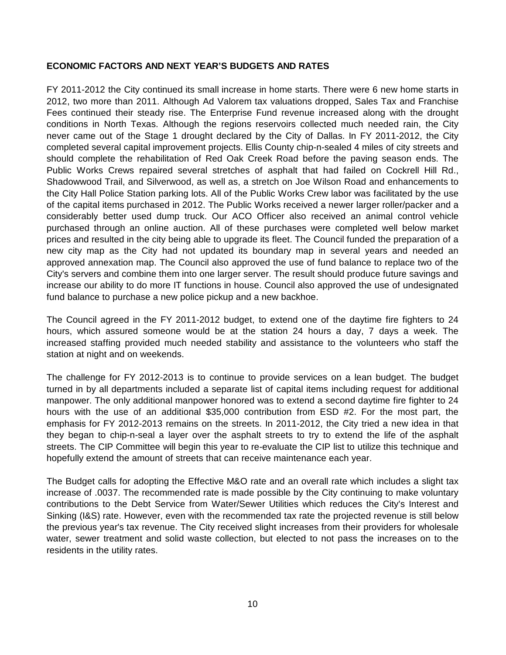### **ECONOMIC FACTORS AND NEXT YEAR'S BUDGETS AND RATES**

FY 2011-2012 the City continued its small increase in home starts. There were 6 new home starts in 2012, two more than 2011. Although Ad Valorem tax valuations dropped, Sales Tax and Franchise Fees continued their steady rise. The Enterprise Fund revenue increased along with the drought conditions in North Texas. Although the regions reservoirs collected much needed rain, the City never came out of the Stage 1 drought declared by the City of Dallas. In FY 2011-2012, the City completed several capital improvement projects. Ellis County chip-n-sealed 4 miles of city streets and should complete the rehabilitation of Red Oak Creek Road before the paving season ends. The Public Works Crews repaired several stretches of asphalt that had failed on Cockrell Hill Rd., Shadowwood Trail, and Silverwood, as well as, a stretch on Joe Wilson Road and enhancements to the City Hall Police Station parking lots. All of the Public Works Crew labor was facilitated by the use of the capital items purchased in 2012. The Public Works received a newer larger roller/packer and a considerably better used dump truck. Our ACO Officer also received an animal control vehicle purchased through an online auction. All of these purchases were completed well below market prices and resulted in the city being able to upgrade its fleet. The Council funded the preparation of a new city map as the City had not updated its boundary map in several years and needed an approved annexation map. The Council also approved the use of fund balance to replace two of the City's servers and combine them into one larger server. The result should produce future savings and increase our ability to do more IT functions in house. Council also approved the use of undesignated fund balance to purchase a new police pickup and a new backhoe.

The Council agreed in the FY 2011-2012 budget, to extend one of the daytime fire fighters to 24 hours, which assured someone would be at the station 24 hours a day, 7 days a week. The increased staffing provided much needed stability and assistance to the volunteers who staff the station at night and on weekends.

The challenge for FY 2012-2013 is to continue to provide services on a lean budget. The budget turned in by all departments included a separate list of capital items including request for additional manpower. The only additional manpower honored was to extend a second daytime fire fighter to 24 hours with the use of an additional \$35,000 contribution from ESD #2. For the most part, the emphasis for FY 2012-2013 remains on the streets. In 2011-2012, the City tried a new idea in that they began to chip-n-seal a layer over the asphalt streets to try to extend the life of the asphalt streets. The CIP Committee will begin this year to re-evaluate the CIP list to utilize this technique and hopefully extend the amount of streets that can receive maintenance each year.

The Budget calls for adopting the Effective M&O rate and an overall rate which includes a slight tax increase of .0037. The recommended rate is made possible by the City continuing to make voluntary contributions to the Debt Service from Water/Sewer Utilities which reduces the City's Interest and Sinking (I&S) rate. However, even with the recommended tax rate the projected revenue is still below the previous year's tax revenue. The City received slight increases from their providers for wholesale water, sewer treatment and solid waste collection, but elected to not pass the increases on to the residents in the utility rates.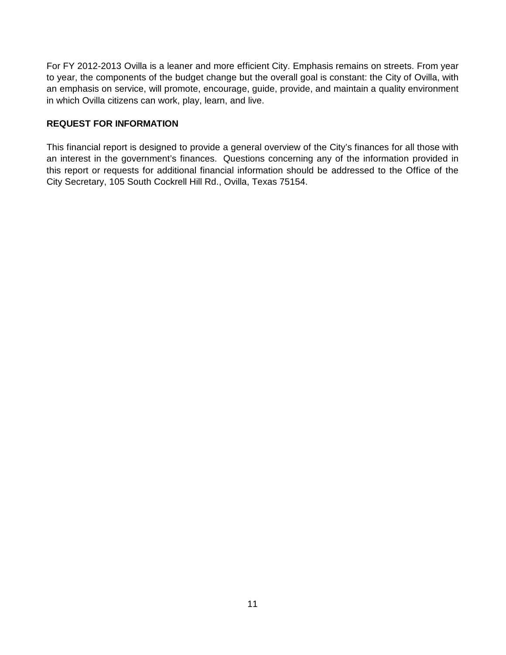For FY 2012-2013 Ovilla is a leaner and more efficient City. Emphasis remains on streets. From year to year, the components of the budget change but the overall goal is constant: the City of Ovilla, with an emphasis on service, will promote, encourage, guide, provide, and maintain a quality environment in which Ovilla citizens can work, play, learn, and live.

#### **REQUEST FOR INFORMATION**

This financial report is designed to provide a general overview of the City's finances for all those with an interest in the government's finances. Questions concerning any of the information provided in this report or requests for additional financial information should be addressed to the Office of the City Secretary, 105 South Cockrell Hill Rd., Ovilla, Texas 75154.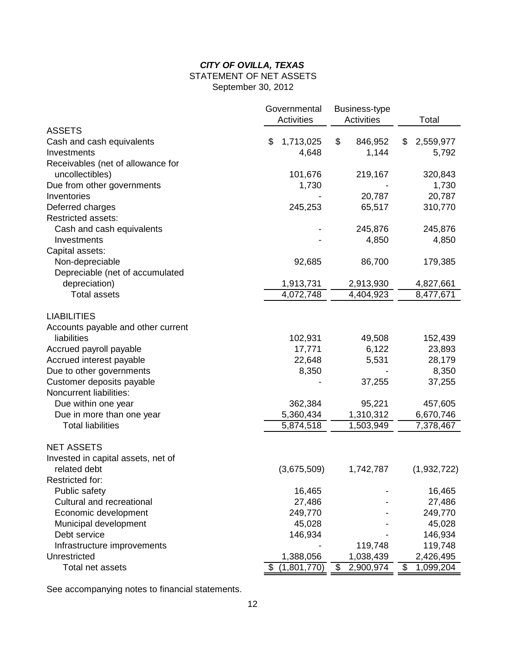# STATEMENT OF NET ASSETS

September 30, 2012

|                                    | Governmental      | Business-type   |                 |
|------------------------------------|-------------------|-----------------|-----------------|
|                                    | <b>Activities</b> | Activities      | Total           |
| <b>ASSETS</b>                      |                   |                 |                 |
| Cash and cash equivalents          | \$<br>1,713,025   | 846,952<br>\$   | 2,559,977<br>\$ |
| Investments                        | 4,648             | 1,144           | 5,792           |
| Receivables (net of allowance for  |                   |                 |                 |
| uncollectibles)                    | 101,676           | 219,167         | 320,843         |
| Due from other governments         | 1,730             |                 | 1,730           |
| Inventories                        |                   | 20,787          | 20,787          |
| Deferred charges                   | 245,253           | 65,517          | 310,770         |
| <b>Restricted assets:</b>          |                   |                 |                 |
| Cash and cash equivalents          |                   | 245,876         | 245,876         |
| Investments                        |                   | 4,850           | 4,850           |
| Capital assets:                    |                   |                 |                 |
| Non-depreciable                    | 92,685            | 86,700          | 179,385         |
| Depreciable (net of accumulated    |                   |                 |                 |
| depreciation)                      | 1,913,731         | 2,913,930       | 4,827,661       |
| <b>Total assets</b>                | 4,072,748         | 4,404,923       | 8,477,671       |
|                                    |                   |                 |                 |
| <b>LIABILITIES</b>                 |                   |                 |                 |
| Accounts payable and other current |                   |                 |                 |
| liabilities                        | 102,931           | 49,508          | 152,439         |
| Accrued payroll payable            | 17,771            | 6,122           | 23,893          |
| Accrued interest payable           | 22,648            | 5,531           | 28,179          |
| Due to other governments           | 8,350             |                 | 8,350           |
| Customer deposits payable          |                   | 37,255          | 37,255          |
| Noncurrent liabilities:            |                   |                 |                 |
| Due within one year                | 362,384           | 95,221          | 457,605         |
| Due in more than one year          | 5,360,434         | 1,310,312       | 6,670,746       |
| <b>Total liabilities</b>           | 5,874,518         | 1,503,949       | 7,378,467       |
|                                    |                   |                 |                 |
| <b>NET ASSETS</b>                  |                   |                 |                 |
| Invested in capital assets, net of |                   |                 |                 |
| related debt                       | (3,675,509)       | 1,742,787       | (1,932,722)     |
| <b>Restricted for:</b>             |                   |                 |                 |
| Public safety                      | 16,465            |                 | 16,465          |
| Cultural and recreational          | 27,486            |                 | 27,486          |
| Economic development               | 249,770           |                 | 249,770         |
| Municipal development              | 45,028            |                 | 45,028          |
| Debt service                       | 146,934           |                 | 146,934         |
| Infrastructure improvements        |                   | 119,748         | 119,748         |
| Unrestricted                       | 1,388,056         | 1,038,439       | 2,426,495       |
| Total net assets                   | \$<br>(1,801,770) | \$<br>2,900,974 | \$<br>1,099,204 |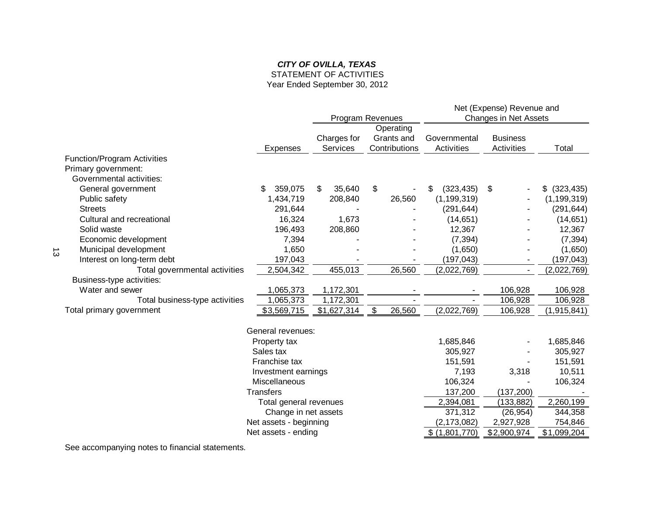STATEMENT OF ACTIVITIES Year Ended September 30, 2012

|                                |                        | Program Revenues |                |               | Net (Expense) Revenue and<br><b>Changes in Net Assets</b> |                 |               |
|--------------------------------|------------------------|------------------|----------------|---------------|-----------------------------------------------------------|-----------------|---------------|
|                                |                        |                  |                | Operating     |                                                           |                 |               |
|                                |                        | Charges for      |                | Grants and    | Governmental                                              | <b>Business</b> |               |
|                                | <b>Expenses</b>        | Services         |                | Contributions | Activities                                                | Activities      | Total         |
| Function/Program Activities    |                        |                  |                |               |                                                           |                 |               |
| Primary government:            |                        |                  |                |               |                                                           |                 |               |
| Governmental activities:       |                        |                  |                |               |                                                           |                 |               |
| General government             | 359,075<br>\$          | 35,640<br>S.     | \$             |               | \$<br>(323, 435)                                          | - \$            | $$$ (323,435) |
| Public safety                  | 1,434,719              | 208,840          |                | 26,560        | (1, 199, 319)                                             |                 | (1, 199, 319) |
| <b>Streets</b>                 | 291,644                |                  |                |               | (291, 644)                                                |                 | (291, 644)    |
| Cultural and recreational      | 16,324                 | 1,673            |                |               | (14, 651)                                                 |                 | (14, 651)     |
| Solid waste                    | 196,493                | 208,860          |                |               | 12,367                                                    |                 | 12,367        |
| Economic development           | 7,394                  |                  |                |               | (7, 394)                                                  |                 | (7, 394)      |
| Municipal development<br>ದ     | 1,650                  |                  |                |               | (1,650)                                                   |                 | (1,650)       |
| Interest on long-term debt     | 197,043                |                  |                |               | (197, 043)                                                |                 | (197, 043)    |
| Total governmental activities  | 2,504,342              | 455,013          |                | 26,560        | (2,022,769)                                               | $\blacksquare$  | (2,022,769)   |
| Business-type activities:      |                        |                  |                |               |                                                           |                 |               |
| Water and sewer                | 1,065,373              | 1,172,301        |                |               |                                                           | 106,928         | 106,928       |
| Total business-type activities | 1,065,373              | 1,172,301        |                |               |                                                           | 106,928         | 106,928       |
| Total primary government       | \$3,569,715            | \$1,627,314      | $\mathfrak{S}$ | 26,560        | (2,022,769)                                               | 106,928         | (1,915,841)   |
|                                |                        |                  |                |               |                                                           |                 |               |
|                                | General revenues:      |                  |                |               |                                                           |                 |               |
|                                | Property tax           |                  |                |               | 1,685,846                                                 |                 | 1,685,846     |
|                                | Sales tax              |                  |                |               | 305,927                                                   |                 | 305,927       |
|                                | Franchise tax          |                  |                |               | 151,591                                                   |                 | 151,591       |
|                                | Investment earnings    |                  |                |               | 7,193                                                     | 3,318           | 10,511        |
|                                |                        | 106,324          |                | 106,324       |                                                           |                 |               |
| <b>Transfers</b>               |                        |                  |                | 137,200       | (137, 200)                                                |                 |               |
|                                | Total general revenues |                  |                | 2,394,081     | (133, 882)                                                | 2,260,199       |               |
|                                | Change in net assets   |                  |                | 371,312       | (26, 954)                                                 | 344,358         |               |
|                                | Net assets - beginning |                  |                |               | (2, 173, 082)                                             | 2,927,928       | 754,846       |
|                                | Net assets - ending    |                  |                |               | \$(1,801,770)                                             | \$2,900,974     | \$1,099,204   |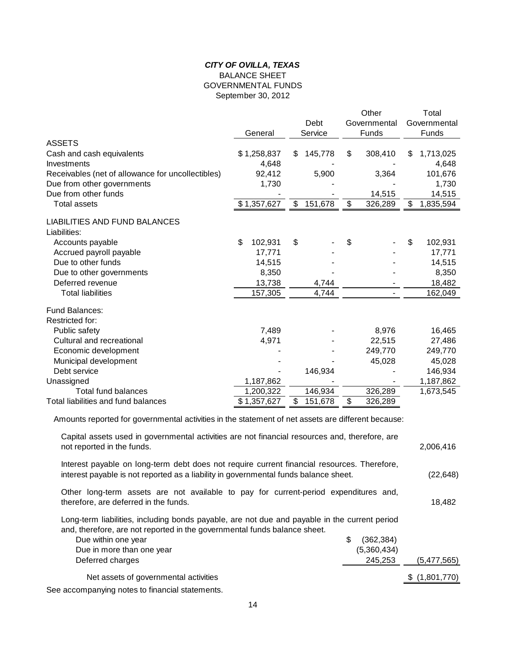#### *CITY OF OVILLA, TEXAS* BALANCE SHEET GOVERNMENTAL FUNDS September 30, 2012

| Debt<br>Governmental<br>Governmental<br>Service<br>Funds<br>Funds<br>General<br><b>ASSETS</b><br>\$1,258,837<br>308,410<br>1,713,025<br>Cash and cash equivalents<br>145,778<br>\$<br>\$<br>\$<br>4,648<br>4,648<br>Investments<br>Receivables (net of allowance for uncollectibles)<br>92,412<br>5,900<br>101,676<br>3,364<br>Due from other governments<br>1,730<br>1,730<br>Due from other funds<br>14,515<br>14,515<br>326,289<br>\$1,357,627<br>151,678<br>\$<br>1,835,594<br><b>Total assets</b><br>\$<br>\$<br>LIABILITIES AND FUND BALANCES<br>Liabilities:<br>\$<br>\$<br>102,931<br>\$<br>\$<br>102,931<br>Accounts payable<br>Accrued payroll payable<br>17,771<br>17,771<br>Due to other funds<br>14,515<br>14,515<br>8,350<br>8,350<br>Due to other governments<br>Deferred revenue<br>18,482<br>13,738<br>4,744<br><b>Total liabilities</b><br>157,305<br>4,744<br>162,049<br>Fund Balances:<br>Restricted for:<br>7,489<br>Public safety<br>8,976<br>16,465<br>Cultural and recreational<br>4,971<br>22,515<br>27,486<br>Economic development<br>249,770<br>249,770<br>Municipal development<br>45,028<br>45,028<br>Debt service<br>146,934<br>146,934<br>Unassigned<br>1,187,862<br>1,187,862<br>1,200,322<br>Total fund balances<br>146,934<br>326,289<br>1,673,545 |                                     |             |               | Other |         | Total |  |
|--------------------------------------------------------------------------------------------------------------------------------------------------------------------------------------------------------------------------------------------------------------------------------------------------------------------------------------------------------------------------------------------------------------------------------------------------------------------------------------------------------------------------------------------------------------------------------------------------------------------------------------------------------------------------------------------------------------------------------------------------------------------------------------------------------------------------------------------------------------------------------------------------------------------------------------------------------------------------------------------------------------------------------------------------------------------------------------------------------------------------------------------------------------------------------------------------------------------------------------------------------------------------------------|-------------------------------------|-------------|---------------|-------|---------|-------|--|
|                                                                                                                                                                                                                                                                                                                                                                                                                                                                                                                                                                                                                                                                                                                                                                                                                                                                                                                                                                                                                                                                                                                                                                                                                                                                                      |                                     |             |               |       |         |       |  |
|                                                                                                                                                                                                                                                                                                                                                                                                                                                                                                                                                                                                                                                                                                                                                                                                                                                                                                                                                                                                                                                                                                                                                                                                                                                                                      |                                     |             |               |       |         |       |  |
|                                                                                                                                                                                                                                                                                                                                                                                                                                                                                                                                                                                                                                                                                                                                                                                                                                                                                                                                                                                                                                                                                                                                                                                                                                                                                      |                                     |             |               |       |         |       |  |
|                                                                                                                                                                                                                                                                                                                                                                                                                                                                                                                                                                                                                                                                                                                                                                                                                                                                                                                                                                                                                                                                                                                                                                                                                                                                                      |                                     |             |               |       |         |       |  |
|                                                                                                                                                                                                                                                                                                                                                                                                                                                                                                                                                                                                                                                                                                                                                                                                                                                                                                                                                                                                                                                                                                                                                                                                                                                                                      |                                     |             |               |       |         |       |  |
|                                                                                                                                                                                                                                                                                                                                                                                                                                                                                                                                                                                                                                                                                                                                                                                                                                                                                                                                                                                                                                                                                                                                                                                                                                                                                      |                                     |             |               |       |         |       |  |
|                                                                                                                                                                                                                                                                                                                                                                                                                                                                                                                                                                                                                                                                                                                                                                                                                                                                                                                                                                                                                                                                                                                                                                                                                                                                                      |                                     |             |               |       |         |       |  |
|                                                                                                                                                                                                                                                                                                                                                                                                                                                                                                                                                                                                                                                                                                                                                                                                                                                                                                                                                                                                                                                                                                                                                                                                                                                                                      |                                     |             |               |       |         |       |  |
|                                                                                                                                                                                                                                                                                                                                                                                                                                                                                                                                                                                                                                                                                                                                                                                                                                                                                                                                                                                                                                                                                                                                                                                                                                                                                      |                                     |             |               |       |         |       |  |
|                                                                                                                                                                                                                                                                                                                                                                                                                                                                                                                                                                                                                                                                                                                                                                                                                                                                                                                                                                                                                                                                                                                                                                                                                                                                                      |                                     |             |               |       |         |       |  |
|                                                                                                                                                                                                                                                                                                                                                                                                                                                                                                                                                                                                                                                                                                                                                                                                                                                                                                                                                                                                                                                                                                                                                                                                                                                                                      |                                     |             |               |       |         |       |  |
|                                                                                                                                                                                                                                                                                                                                                                                                                                                                                                                                                                                                                                                                                                                                                                                                                                                                                                                                                                                                                                                                                                                                                                                                                                                                                      |                                     |             |               |       |         |       |  |
|                                                                                                                                                                                                                                                                                                                                                                                                                                                                                                                                                                                                                                                                                                                                                                                                                                                                                                                                                                                                                                                                                                                                                                                                                                                                                      |                                     |             |               |       |         |       |  |
|                                                                                                                                                                                                                                                                                                                                                                                                                                                                                                                                                                                                                                                                                                                                                                                                                                                                                                                                                                                                                                                                                                                                                                                                                                                                                      |                                     |             |               |       |         |       |  |
|                                                                                                                                                                                                                                                                                                                                                                                                                                                                                                                                                                                                                                                                                                                                                                                                                                                                                                                                                                                                                                                                                                                                                                                                                                                                                      |                                     |             |               |       |         |       |  |
|                                                                                                                                                                                                                                                                                                                                                                                                                                                                                                                                                                                                                                                                                                                                                                                                                                                                                                                                                                                                                                                                                                                                                                                                                                                                                      |                                     |             |               |       |         |       |  |
|                                                                                                                                                                                                                                                                                                                                                                                                                                                                                                                                                                                                                                                                                                                                                                                                                                                                                                                                                                                                                                                                                                                                                                                                                                                                                      |                                     |             |               |       |         |       |  |
|                                                                                                                                                                                                                                                                                                                                                                                                                                                                                                                                                                                                                                                                                                                                                                                                                                                                                                                                                                                                                                                                                                                                                                                                                                                                                      |                                     |             |               |       |         |       |  |
|                                                                                                                                                                                                                                                                                                                                                                                                                                                                                                                                                                                                                                                                                                                                                                                                                                                                                                                                                                                                                                                                                                                                                                                                                                                                                      |                                     |             |               |       |         |       |  |
|                                                                                                                                                                                                                                                                                                                                                                                                                                                                                                                                                                                                                                                                                                                                                                                                                                                                                                                                                                                                                                                                                                                                                                                                                                                                                      |                                     |             |               |       |         |       |  |
|                                                                                                                                                                                                                                                                                                                                                                                                                                                                                                                                                                                                                                                                                                                                                                                                                                                                                                                                                                                                                                                                                                                                                                                                                                                                                      |                                     |             |               |       |         |       |  |
|                                                                                                                                                                                                                                                                                                                                                                                                                                                                                                                                                                                                                                                                                                                                                                                                                                                                                                                                                                                                                                                                                                                                                                                                                                                                                      |                                     |             |               |       |         |       |  |
|                                                                                                                                                                                                                                                                                                                                                                                                                                                                                                                                                                                                                                                                                                                                                                                                                                                                                                                                                                                                                                                                                                                                                                                                                                                                                      |                                     |             |               |       |         |       |  |
|                                                                                                                                                                                                                                                                                                                                                                                                                                                                                                                                                                                                                                                                                                                                                                                                                                                                                                                                                                                                                                                                                                                                                                                                                                                                                      |                                     |             |               |       |         |       |  |
|                                                                                                                                                                                                                                                                                                                                                                                                                                                                                                                                                                                                                                                                                                                                                                                                                                                                                                                                                                                                                                                                                                                                                                                                                                                                                      |                                     |             |               |       |         |       |  |
|                                                                                                                                                                                                                                                                                                                                                                                                                                                                                                                                                                                                                                                                                                                                                                                                                                                                                                                                                                                                                                                                                                                                                                                                                                                                                      |                                     |             |               |       |         |       |  |
|                                                                                                                                                                                                                                                                                                                                                                                                                                                                                                                                                                                                                                                                                                                                                                                                                                                                                                                                                                                                                                                                                                                                                                                                                                                                                      | Total liabilities and fund balances | \$1,357,627 | \$<br>151,678 | \$    | 326,289 |       |  |

Amounts reported for governmental activities in the statement of net assets are different because:

| Net assets of governmental activities                                                                                                                                               |    |             | (1,801,770) |
|-------------------------------------------------------------------------------------------------------------------------------------------------------------------------------------|----|-------------|-------------|
| Deferred charges                                                                                                                                                                    |    | 245,253     | (5,477,565) |
| Due in more than one year                                                                                                                                                           |    | (5,360,434) |             |
| Due within one year                                                                                                                                                                 | \$ | (362, 384)  |             |
| and, therefore, are not reported in the governmental funds balance sheet.                                                                                                           |    |             |             |
| Long-term liabilities, including bonds payable, are not due and payable in the current period                                                                                       |    |             |             |
| therefore, are deferred in the funds.                                                                                                                                               |    |             | 18,482      |
| Other long-term assets are not available to pay for current-period expenditures and,                                                                                                |    |             |             |
| Interest payable on long-term debt does not require current financial resources. Therefore,<br>interest payable is not reported as a liability in governmental funds balance sheet. |    | (22, 648)   |             |
|                                                                                                                                                                                     |    |             |             |
| Capital assets used in governmental activities are not financial resources and, therefore, are<br>not reported in the funds.                                                        |    |             | 2,006,416   |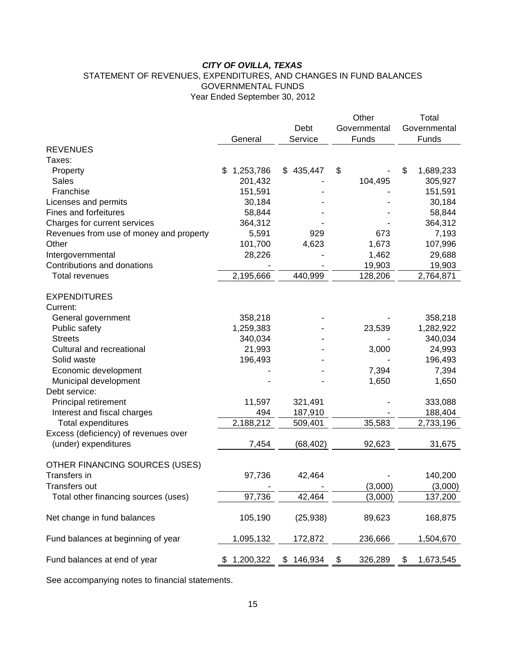## *CITY OF OVILLA, TEXAS* STATEMENT OF REVENUES, EXPENDITURES, AND CHANGES IN FUND BALANCES GOVERNMENTAL FUNDS Year Ended September 30, 2012

|                                         |                 |               | Other         | Total           |
|-----------------------------------------|-----------------|---------------|---------------|-----------------|
|                                         |                 | Debt          | Governmental  | Governmental    |
| <b>REVENUES</b>                         | General         | Service       | Funds         | Funds           |
| Taxes:                                  |                 |               |               |                 |
| Property                                | \$<br>1,253,786 | 435,447<br>\$ | \$            | 1,689,233<br>\$ |
| <b>Sales</b>                            | 201,432         |               | 104,495       |                 |
|                                         |                 |               |               | 305,927         |
| Franchise                               | 151,591         |               |               | 151,591         |
| Licenses and permits                    | 30,184          |               |               | 30,184          |
| Fines and forfeitures                   | 58,844          |               |               | 58,844          |
| Charges for current services            | 364,312         |               |               | 364,312         |
| Revenues from use of money and property | 5,591           | 929           | 673           | 7,193           |
| Other                                   | 101,700         | 4,623         | 1,673         | 107,996         |
| Intergovernmental                       | 28,226          |               | 1,462         | 29,688          |
| Contributions and donations             |                 |               | 19,903        | 19,903          |
| <b>Total revenues</b>                   | 2,195,666       | 440,999       | 128,206       | 2,764,871       |
| <b>EXPENDITURES</b>                     |                 |               |               |                 |
| Current:                                |                 |               |               |                 |
| General government                      | 358,218         |               |               | 358,218         |
| <b>Public safety</b>                    | 1,259,383       |               | 23,539        | 1,282,922       |
| <b>Streets</b>                          | 340,034         |               |               | 340,034         |
| Cultural and recreational               | 21,993          |               |               | 24,993          |
|                                         |                 |               | 3,000         |                 |
| Solid waste                             | 196,493         |               |               | 196,493         |
| Economic development                    |                 |               | 7,394         | 7,394           |
| Municipal development                   |                 |               | 1,650         | 1,650           |
| Debt service:                           |                 |               |               |                 |
| Principal retirement                    | 11,597          | 321,491       |               | 333,088         |
| Interest and fiscal charges             | 494             | 187,910       |               | 188,404         |
| Total expenditures                      | 2,188,212       | 509,401       | 35,583        | 2,733,196       |
| Excess (deficiency) of revenues over    |                 |               |               |                 |
| (under) expenditures                    | 7,454           | (68, 402)     | 92,623        | 31,675          |
| OTHER FINANCING SOURCES (USES)          |                 |               |               |                 |
| Transfers in                            | 97,736          | 42,464        |               | 140,200         |
| Transfers out                           |                 |               | (3,000)       | (3,000)         |
|                                         |                 |               |               |                 |
| Total other financing sources (uses)    | 97,736          | 42,464        | (3,000)       | 137,200         |
| Net change in fund balances             | 105,190         | (25, 938)     | 89,623        | 168,875         |
| Fund balances at beginning of year      | 1,095,132       | 172,872       | 236,666       | 1,504,670       |
| Fund balances at end of year            | 1,200,322<br>S. | \$146,934     | 326,289<br>\$ | 1,673,545<br>\$ |
|                                         |                 |               |               |                 |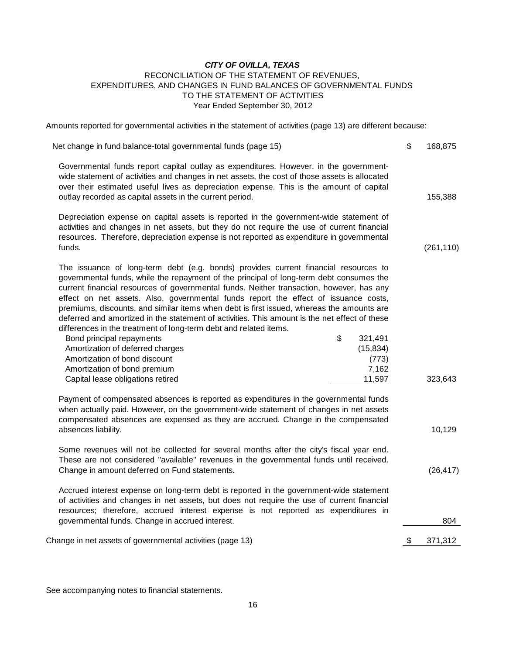#### *CITY OF OVILLA, TEXAS* RECONCILIATION OF THE STATEMENT OF REVENUES, EXPENDITURES, AND CHANGES IN FUND BALANCES OF GOVERNMENTAL FUNDS TO THE STATEMENT OF ACTIVITIES Year Ended September 30, 2012

Amounts reported for governmental activities in the statement of activities (page 13) are different because:

| Net change in fund balance-total governmental funds (page 15)                                                                                                                                                                                                                                                                                                                                                                                                                                                                                                                                                                        | \$<br>168,875 |
|--------------------------------------------------------------------------------------------------------------------------------------------------------------------------------------------------------------------------------------------------------------------------------------------------------------------------------------------------------------------------------------------------------------------------------------------------------------------------------------------------------------------------------------------------------------------------------------------------------------------------------------|---------------|
| Governmental funds report capital outlay as expenditures. However, in the government-<br>wide statement of activities and changes in net assets, the cost of those assets is allocated<br>over their estimated useful lives as depreciation expense. This is the amount of capital<br>outlay recorded as capital assets in the current period.                                                                                                                                                                                                                                                                                       | 155,388       |
| Depreciation expense on capital assets is reported in the government-wide statement of<br>activities and changes in net assets, but they do not require the use of current financial<br>resources. Therefore, depreciation expense is not reported as expenditure in governmental<br>funds.                                                                                                                                                                                                                                                                                                                                          | (261, 110)    |
| The issuance of long-term debt (e.g. bonds) provides current financial resources to<br>governmental funds, while the repayment of the principal of long-term debt consumes the<br>current financial resources of governmental funds. Neither transaction, however, has any<br>effect on net assets. Also, governmental funds report the effect of issuance costs,<br>premiums, discounts, and similar items when debt is first issued, whereas the amounts are<br>deferred and amortized in the statement of activities. This amount is the net effect of these<br>differences in the treatment of long-term debt and related items. |               |
| \$<br>Bond principal repayments<br>321,491<br>Amortization of deferred charges<br>(15, 834)<br>Amortization of bond discount<br>(773)<br>7,162<br>Amortization of bond premium<br>Capital lease obligations retired<br>11,597                                                                                                                                                                                                                                                                                                                                                                                                        | 323,643       |
| Payment of compensated absences is reported as expenditures in the governmental funds<br>when actually paid. However, on the government-wide statement of changes in net assets<br>compensated absences are expensed as they are accrued. Change in the compensated<br>absences liability.                                                                                                                                                                                                                                                                                                                                           | 10,129        |
| Some revenues will not be collected for several months after the city's fiscal year end.<br>These are not considered "available" revenues in the governmental funds until received.<br>Change in amount deferred on Fund statements.                                                                                                                                                                                                                                                                                                                                                                                                 | (26, 417)     |
| Accrued interest expense on long-term debt is reported in the government-wide statement<br>of activities and changes in net assets, but does not require the use of current financial<br>resources; therefore, accrued interest expense is not reported as expenditures in<br>governmental funds. Change in accrued interest.                                                                                                                                                                                                                                                                                                        | 804           |
| Change in net assets of governmental activities (page 13)                                                                                                                                                                                                                                                                                                                                                                                                                                                                                                                                                                            | \$<br>371,312 |
|                                                                                                                                                                                                                                                                                                                                                                                                                                                                                                                                                                                                                                      |               |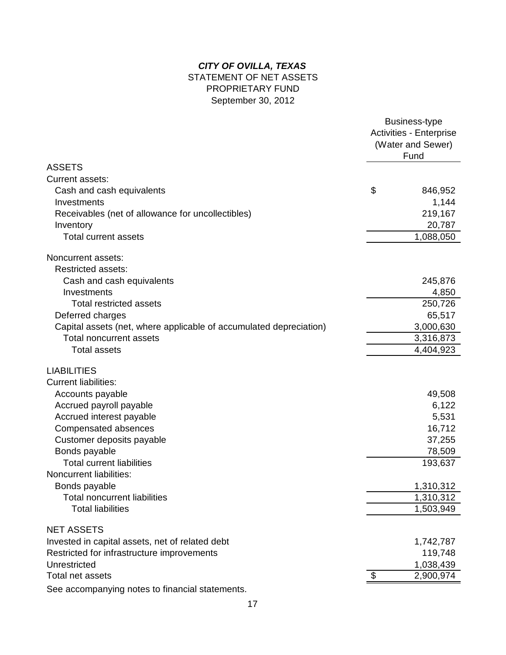# STATEMENT OF NET ASSETS PROPRIETARY FUND

September 30, 2012

|                                                                    |    | Business-type<br><b>Activities - Enterprise</b><br>(Water and Sewer)<br>Fund |  |  |  |
|--------------------------------------------------------------------|----|------------------------------------------------------------------------------|--|--|--|
| <b>ASSETS</b>                                                      |    |                                                                              |  |  |  |
| <b>Current assets:</b>                                             |    |                                                                              |  |  |  |
| Cash and cash equivalents                                          | \$ | 846,952                                                                      |  |  |  |
| Investments                                                        |    | 1,144                                                                        |  |  |  |
| Receivables (net of allowance for uncollectibles)                  |    | 219,167                                                                      |  |  |  |
| Inventory                                                          |    | 20,787                                                                       |  |  |  |
| <b>Total current assets</b>                                        |    | 1,088,050                                                                    |  |  |  |
| Noncurrent assets:<br><b>Restricted assets:</b>                    |    |                                                                              |  |  |  |
| Cash and cash equivalents                                          |    | 245,876                                                                      |  |  |  |
| Investments                                                        |    | 4,850                                                                        |  |  |  |
| <b>Total restricted assets</b>                                     |    | 250,726                                                                      |  |  |  |
| Deferred charges                                                   |    | 65,517                                                                       |  |  |  |
| Capital assets (net, where applicable of accumulated depreciation) |    | 3,000,630                                                                    |  |  |  |
| <b>Total noncurrent assets</b><br><b>Total assets</b>              |    | 3,316,873<br>4,404,923                                                       |  |  |  |
| <b>LIABILITIES</b>                                                 |    |                                                                              |  |  |  |
| <b>Current liabilities:</b>                                        |    |                                                                              |  |  |  |
| Accounts payable                                                   |    | 49,508                                                                       |  |  |  |
| Accrued payroll payable                                            |    | 6,122                                                                        |  |  |  |
| Accrued interest payable                                           |    | 5,531                                                                        |  |  |  |
| Compensated absences                                               |    | 16,712                                                                       |  |  |  |
| Customer deposits payable                                          |    | 37,255                                                                       |  |  |  |
| Bonds payable                                                      |    | 78,509                                                                       |  |  |  |
| <b>Total current liabilities</b><br>Noncurrent liabilities:        |    | 193,637                                                                      |  |  |  |
| Bonds payable                                                      |    | 1,310,312                                                                    |  |  |  |
| <b>Total noncurrent liabilities</b>                                |    | 1,310,312                                                                    |  |  |  |
| <b>Total liabilities</b>                                           |    | 1,503,949                                                                    |  |  |  |
| <b>NET ASSETS</b>                                                  |    |                                                                              |  |  |  |
| Invested in capital assets, net of related debt                    |    | 1,742,787                                                                    |  |  |  |
| Restricted for infrastructure improvements                         |    | 119,748                                                                      |  |  |  |
| Unrestricted                                                       |    | 1,038,439                                                                    |  |  |  |
| Total net assets                                                   | \$ | 2,900,974                                                                    |  |  |  |
| See accompanying notes to financial statements.                    |    |                                                                              |  |  |  |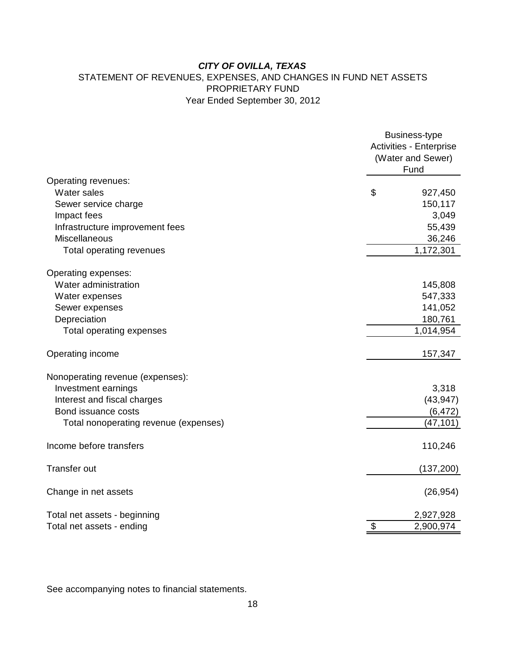# STATEMENT OF REVENUES, EXPENSES, AND CHANGES IN FUND NET ASSETS PROPRIETARY FUND Year Ended September 30, 2012

| Operating revenues:<br>\$<br>Water sales<br>Sewer service charge<br>Impact fees<br>Infrastructure improvement fees<br><b>Miscellaneous</b><br>Total operating revenues<br>Operating expenses:<br>Water administration<br>Water expenses<br>Sewer expenses<br>Depreciation<br>Total operating expenses<br>Operating income<br>Nonoperating revenue (expenses):<br>Investment earnings<br>Interest and fiscal charges<br>Bond issuance costs<br>Total nonoperating revenue (expenses)<br>Income before transfers | 927,450<br>150,117<br>3,049 |
|----------------------------------------------------------------------------------------------------------------------------------------------------------------------------------------------------------------------------------------------------------------------------------------------------------------------------------------------------------------------------------------------------------------------------------------------------------------------------------------------------------------|-----------------------------|
|                                                                                                                                                                                                                                                                                                                                                                                                                                                                                                                |                             |
|                                                                                                                                                                                                                                                                                                                                                                                                                                                                                                                |                             |
|                                                                                                                                                                                                                                                                                                                                                                                                                                                                                                                |                             |
|                                                                                                                                                                                                                                                                                                                                                                                                                                                                                                                |                             |
|                                                                                                                                                                                                                                                                                                                                                                                                                                                                                                                | 55,439                      |
|                                                                                                                                                                                                                                                                                                                                                                                                                                                                                                                | 36,246                      |
|                                                                                                                                                                                                                                                                                                                                                                                                                                                                                                                | 1,172,301                   |
|                                                                                                                                                                                                                                                                                                                                                                                                                                                                                                                |                             |
|                                                                                                                                                                                                                                                                                                                                                                                                                                                                                                                | 145,808                     |
|                                                                                                                                                                                                                                                                                                                                                                                                                                                                                                                | 547,333                     |
|                                                                                                                                                                                                                                                                                                                                                                                                                                                                                                                | 141,052                     |
|                                                                                                                                                                                                                                                                                                                                                                                                                                                                                                                | 180,761                     |
|                                                                                                                                                                                                                                                                                                                                                                                                                                                                                                                | 1,014,954                   |
|                                                                                                                                                                                                                                                                                                                                                                                                                                                                                                                | 157,347                     |
|                                                                                                                                                                                                                                                                                                                                                                                                                                                                                                                |                             |
|                                                                                                                                                                                                                                                                                                                                                                                                                                                                                                                | 3,318                       |
|                                                                                                                                                                                                                                                                                                                                                                                                                                                                                                                | (43, 947)                   |
|                                                                                                                                                                                                                                                                                                                                                                                                                                                                                                                | (6, 472)                    |
|                                                                                                                                                                                                                                                                                                                                                                                                                                                                                                                | (47, 101)                   |
|                                                                                                                                                                                                                                                                                                                                                                                                                                                                                                                | 110,246                     |
| <b>Transfer out</b>                                                                                                                                                                                                                                                                                                                                                                                                                                                                                            | (137, 200)                  |
| Change in net assets                                                                                                                                                                                                                                                                                                                                                                                                                                                                                           | (26, 954)                   |
| Total net assets - beginning                                                                                                                                                                                                                                                                                                                                                                                                                                                                                   |                             |
| \$<br>Total net assets - ending                                                                                                                                                                                                                                                                                                                                                                                                                                                                                | 2,927,928<br>2,900,974      |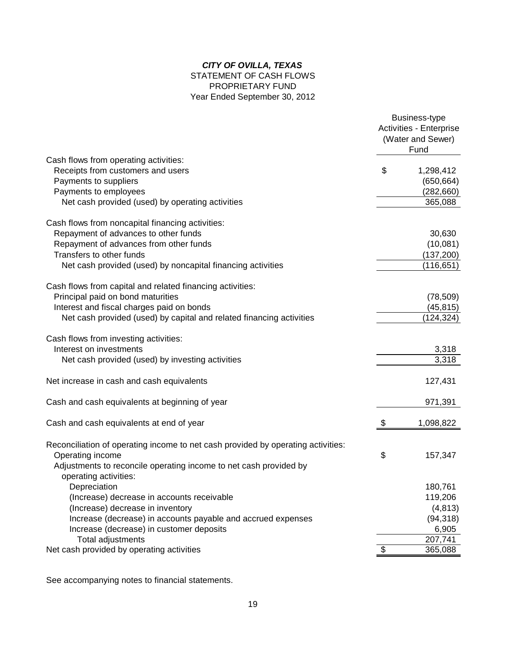#### *CITY OF OVILLA, TEXAS* STATEMENT OF CASH FLOWS PROPRIETARY FUND

# Year Ended September 30, 2012

|                                                                                                                                                                                                                               |    | Business-type<br>Activities - Enterprise<br>(Water and Sewer)<br>Fund |
|-------------------------------------------------------------------------------------------------------------------------------------------------------------------------------------------------------------------------------|----|-----------------------------------------------------------------------|
| Cash flows from operating activities:<br>Receipts from customers and users<br>Payments to suppliers<br>Payments to employees                                                                                                  |    | 1,298,412<br>(650, 664)<br>(282, 660)                                 |
| Net cash provided (used) by operating activities                                                                                                                                                                              |    | 365,088                                                               |
| Cash flows from noncapital financing activities:<br>Repayment of advances to other funds<br>Repayment of advances from other funds<br>Transfers to other funds<br>Net cash provided (used) by noncapital financing activities |    | 30,630<br>(10,081)<br>(137, 200)<br>(116,651)                         |
| Cash flows from capital and related financing activities:<br>Principal paid on bond maturities<br>Interest and fiscal charges paid on bonds<br>Net cash provided (used) by capital and related financing activities           |    | (78, 509)<br>(45, 815)<br>(124, 324)                                  |
| Cash flows from investing activities:<br>Interest on investments<br>Net cash provided (used) by investing activities                                                                                                          |    | 3,318<br>3,318                                                        |
| Net increase in cash and cash equivalents                                                                                                                                                                                     |    | 127,431                                                               |
| Cash and cash equivalents at beginning of year                                                                                                                                                                                |    | 971,391                                                               |
| Cash and cash equivalents at end of year                                                                                                                                                                                      | \$ | 1,098,822                                                             |
| Reconciliation of operating income to net cash provided by operating activities:<br>Operating income<br>Adjustments to reconcile operating income to net cash provided by<br>operating activities:                            | \$ | 157,347                                                               |
| Depreciation<br>(Increase) decrease in accounts receivable                                                                                                                                                                    |    | 180,761<br>119,206                                                    |
| (Increase) decrease in inventory<br>Increase (decrease) in accounts payable and accrued expenses<br>Increase (decrease) in customer deposits                                                                                  |    | (4, 813)<br>(94, 318)<br>6,905                                        |
| <b>Total adjustments</b><br>Net cash provided by operating activities                                                                                                                                                         | \$ | 207,741<br>365,088                                                    |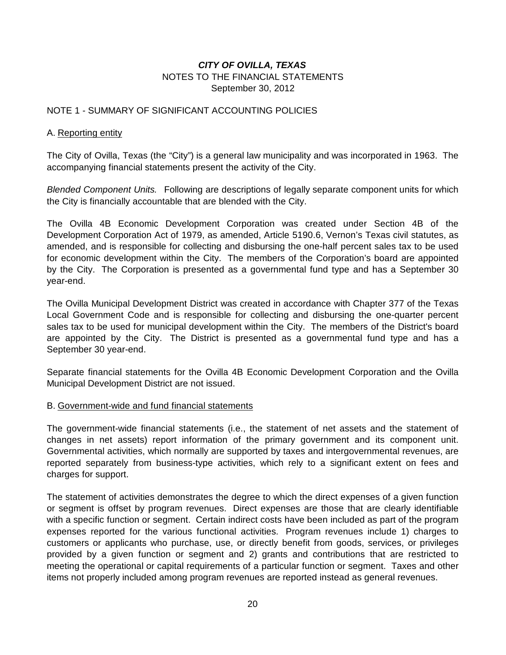#### NOTE 1 - SUMMARY OF SIGNIFICANT ACCOUNTING POLICIES

#### A. Reporting entity

The City of Ovilla, Texas (the "City") is a general law municipality and was incorporated in 1963. The accompanying financial statements present the activity of the City.

*Blended Component Units.* Following are descriptions of legally separate component units for which the City is financially accountable that are blended with the City.

The Ovilla 4B Economic Development Corporation was created under Section 4B of the Development Corporation Act of 1979, as amended, Article 5190.6, Vernon's Texas civil statutes, as amended, and is responsible for collecting and disbursing the one-half percent sales tax to be used for economic development within the City. The members of the Corporation's board are appointed by the City. The Corporation is presented as a governmental fund type and has a September 30 year-end.

The Ovilla Municipal Development District was created in accordance with Chapter 377 of the Texas Local Government Code and is responsible for collecting and disbursing the one-quarter percent sales tax to be used for municipal development within the City. The members of the District's board are appointed by the City. The District is presented as a governmental fund type and has a September 30 year-end.

Separate financial statements for the Ovilla 4B Economic Development Corporation and the Ovilla Municipal Development District are not issued.

#### B. Government-wide and fund financial statements

The government-wide financial statements (i.e., the statement of net assets and the statement of changes in net assets) report information of the primary government and its component unit. Governmental activities, which normally are supported by taxes and intergovernmental revenues, are reported separately from business-type activities, which rely to a significant extent on fees and charges for support.

The statement of activities demonstrates the degree to which the direct expenses of a given function or segment is offset by program revenues. Direct expenses are those that are clearly identifiable with a specific function or segment. Certain indirect costs have been included as part of the program expenses reported for the various functional activities. Program revenues include 1) charges to customers or applicants who purchase, use, or directly benefit from goods, services, or privileges provided by a given function or segment and 2) grants and contributions that are restricted to meeting the operational or capital requirements of a particular function or segment. Taxes and other items not properly included among program revenues are reported instead as general revenues.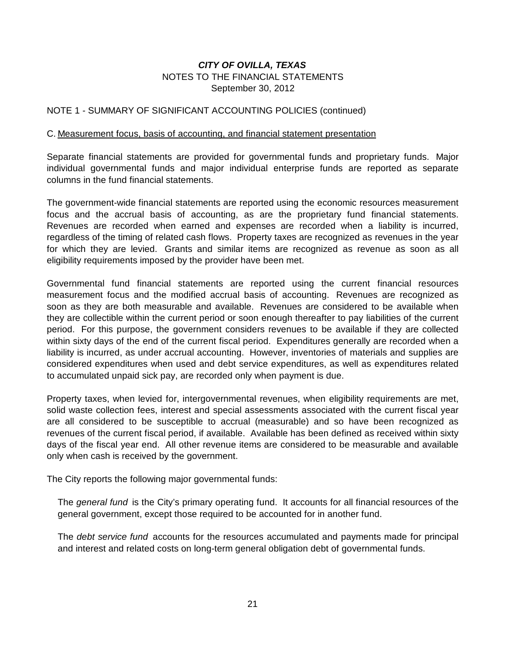#### NOTE 1 - SUMMARY OF SIGNIFICANT ACCOUNTING POLICIES (continued)

#### C. Measurement focus, basis of accounting, and financial statement presentation

Separate financial statements are provided for governmental funds and proprietary funds. Major individual governmental funds and major individual enterprise funds are reported as separate columns in the fund financial statements.

The government-wide financial statements are reported using the economic resources measurement focus and the accrual basis of accounting, as are the proprietary fund financial statements. Revenues are recorded when earned and expenses are recorded when a liability is incurred, regardless of the timing of related cash flows. Property taxes are recognized as revenues in the year for which they are levied. Grants and similar items are recognized as revenue as soon as all eligibility requirements imposed by the provider have been met.

Governmental fund financial statements are reported using the current financial resources measurement focus and the modified accrual basis of accounting. Revenues are recognized as soon as they are both measurable and available. Revenues are considered to be available when they are collectible within the current period or soon enough thereafter to pay liabilities of the current period. For this purpose, the government considers revenues to be available if they are collected within sixty days of the end of the current fiscal period. Expenditures generally are recorded when a liability is incurred, as under accrual accounting. However, inventories of materials and supplies are considered expenditures when used and debt service expenditures, as well as expenditures related to accumulated unpaid sick pay, are recorded only when payment is due.

Property taxes, when levied for, intergovernmental revenues, when eligibility requirements are met, solid waste collection fees, interest and special assessments associated with the current fiscal year are all considered to be susceptible to accrual (measurable) and so have been recognized as revenues of the current fiscal period, if available. Available has been defined as received within sixty days of the fiscal year end. All other revenue items are considered to be measurable and available only when cash is received by the government.

The City reports the following major governmental funds:

The *general fund* is the City's primary operating fund. It accounts for all financial resources of the general government, except those required to be accounted for in another fund.

The *debt service fund* accounts for the resources accumulated and payments made for principal and interest and related costs on long-term general obligation debt of governmental funds.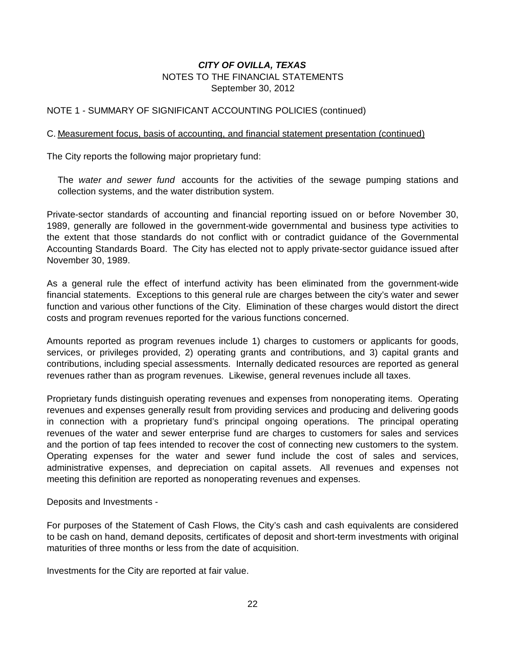#### NOTE 1 - SUMMARY OF SIGNIFICANT ACCOUNTING POLICIES (continued)

#### C. Measurement focus, basis of accounting, and financial statement presentation (continued)

The City reports the following major proprietary fund:

The *water and sewer fund* accounts for the activities of the sewage pumping stations and collection systems, and the water distribution system.

Private-sector standards of accounting and financial reporting issued on or before November 30, 1989, generally are followed in the government-wide governmental and business type activities to the extent that those standards do not conflict with or contradict guidance of the Governmental Accounting Standards Board. The City has elected not to apply private-sector guidance issued after November 30, 1989.

As a general rule the effect of interfund activity has been eliminated from the government-wide financial statements. Exceptions to this general rule are charges between the city's water and sewer function and various other functions of the City. Elimination of these charges would distort the direct costs and program revenues reported for the various functions concerned.

Amounts reported as program revenues include 1) charges to customers or applicants for goods, services, or privileges provided, 2) operating grants and contributions, and 3) capital grants and contributions, including special assessments. Internally dedicated resources are reported as general revenues rather than as program revenues. Likewise, general revenues include all taxes.

Proprietary funds distinguish operating revenues and expenses from nonoperating items. Operating revenues and expenses generally result from providing services and producing and delivering goods in connection with a proprietary fund's principal ongoing operations. The principal operating revenues of the water and sewer enterprise fund are charges to customers for sales and services and the portion of tap fees intended to recover the cost of connecting new customers to the system. Operating expenses for the water and sewer fund include the cost of sales and services, administrative expenses, and depreciation on capital assets. All revenues and expenses not meeting this definition are reported as nonoperating revenues and expenses.

Deposits and Investments -

For purposes of the Statement of Cash Flows, the City's cash and cash equivalents are considered to be cash on hand, demand deposits, certificates of deposit and short-term investments with original maturities of three months or less from the date of acquisition.

Investments for the City are reported at fair value.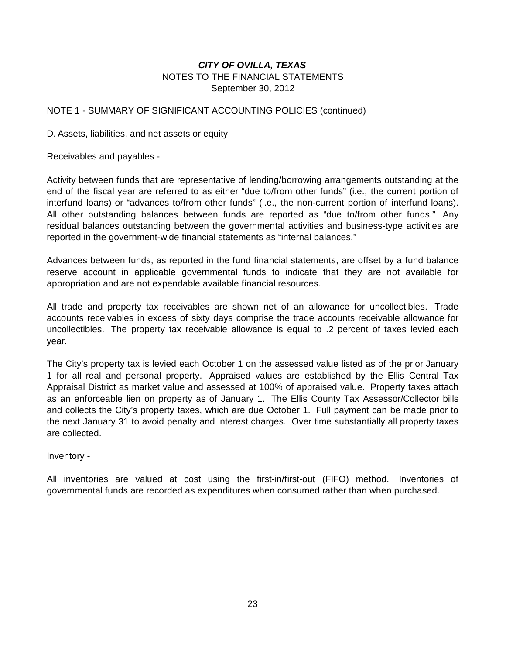### NOTE 1 - SUMMARY OF SIGNIFICANT ACCOUNTING POLICIES (continued)

#### D. Assets, liabilities, and net assets or equity

Receivables and payables -

Activity between funds that are representative of lending/borrowing arrangements outstanding at the end of the fiscal year are referred to as either "due to/from other funds" (i.e., the current portion of interfund loans) or "advances to/from other funds" (i.e., the non-current portion of interfund loans). All other outstanding balances between funds are reported as "due to/from other funds." Any residual balances outstanding between the governmental activities and business-type activities are reported in the government-wide financial statements as "internal balances."

Advances between funds, as reported in the fund financial statements, are offset by a fund balance reserve account in applicable governmental funds to indicate that they are not available for appropriation and are not expendable available financial resources.

All trade and property tax receivables are shown net of an allowance for uncollectibles. Trade accounts receivables in excess of sixty days comprise the trade accounts receivable allowance for uncollectibles. The property tax receivable allowance is equal to .2 percent of taxes levied each year.

The City's property tax is levied each October 1 on the assessed value listed as of the prior January 1 for all real and personal property. Appraised values are established by the Ellis Central Tax Appraisal District as market value and assessed at 100% of appraised value. Property taxes attach as an enforceable lien on property as of January 1. The Ellis County Tax Assessor/Collector bills and collects the City's property taxes, which are due October 1. Full payment can be made prior to the next January 31 to avoid penalty and interest charges. Over time substantially all property taxes are collected.

Inventory -

All inventories are valued at cost using the first-in/first-out (FIFO) method. Inventories of governmental funds are recorded as expenditures when consumed rather than when purchased.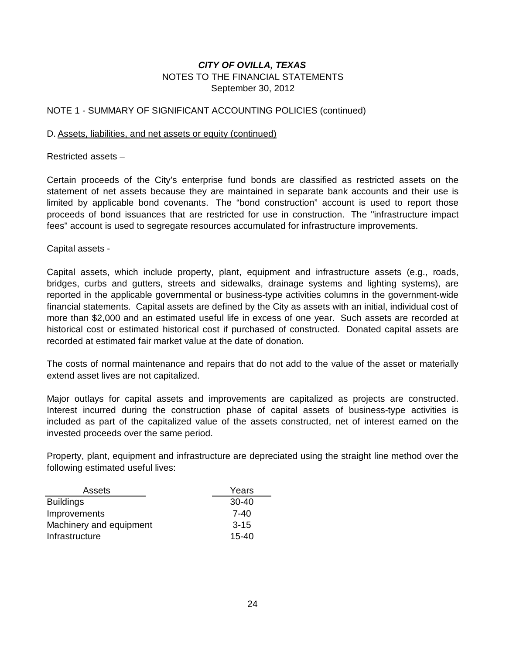### NOTE 1 - SUMMARY OF SIGNIFICANT ACCOUNTING POLICIES (continued)

#### D. Assets, liabilities, and net assets or equity (continued)

Restricted assets –

Certain proceeds of the City's enterprise fund bonds are classified as restricted assets on the statement of net assets because they are maintained in separate bank accounts and their use is limited by applicable bond covenants. The "bond construction" account is used to report those proceeds of bond issuances that are restricted for use in construction. The "infrastructure impact fees" account is used to segregate resources accumulated for infrastructure improvements.

Capital assets -

Capital assets, which include property, plant, equipment and infrastructure assets (e.g., roads, bridges, curbs and gutters, streets and sidewalks, drainage systems and lighting systems), are reported in the applicable governmental or business-type activities columns in the government-wide financial statements. Capital assets are defined by the City as assets with an initial, individual cost of more than \$2,000 and an estimated useful life in excess of one year. Such assets are recorded at historical cost or estimated historical cost if purchased of constructed. Donated capital assets are recorded at estimated fair market value at the date of donation.

The costs of normal maintenance and repairs that do not add to the value of the asset or materially extend asset lives are not capitalized.

Major outlays for capital assets and improvements are capitalized as projects are constructed. Interest incurred during the construction phase of capital assets of business-type activities is included as part of the capitalized value of the assets constructed, net of interest earned on the invested proceeds over the same period.

Property, plant, equipment and infrastructure are depreciated using the straight line method over the following estimated useful lives:

| Assets                  | Years     |
|-------------------------|-----------|
| <b>Buildings</b>        | $30-40$   |
| Improvements            | $7 - 40$  |
| Machinery and equipment | $3 - 15$  |
| Infrastructure          | $15 - 40$ |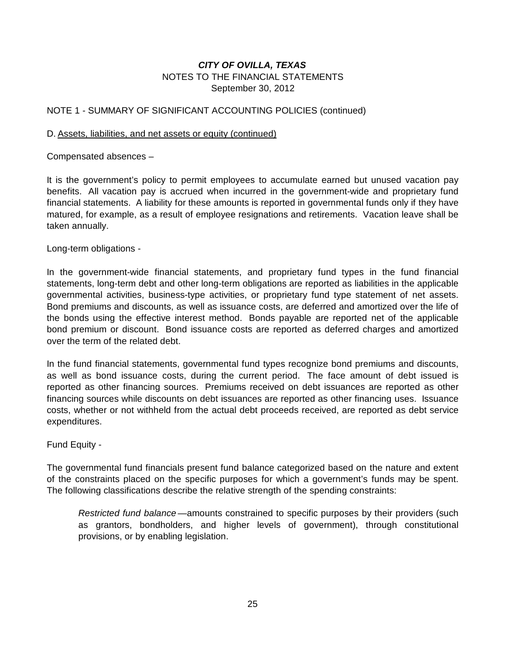# NOTE 1 - SUMMARY OF SIGNIFICANT ACCOUNTING POLICIES (continued)

#### D. Assets, liabilities, and net assets or equity (continued)

Compensated absences –

It is the government's policy to permit employees to accumulate earned but unused vacation pay benefits. All vacation pay is accrued when incurred in the government-wide and proprietary fund financial statements. A liability for these amounts is reported in governmental funds only if they have matured, for example, as a result of employee resignations and retirements. Vacation leave shall be taken annually.

Long-term obligations -

In the government-wide financial statements, and proprietary fund types in the fund financial statements, long-term debt and other long-term obligations are reported as liabilities in the applicable governmental activities, business-type activities, or proprietary fund type statement of net assets. Bond premiums and discounts, as well as issuance costs, are deferred and amortized over the life of the bonds using the effective interest method. Bonds payable are reported net of the applicable bond premium or discount. Bond issuance costs are reported as deferred charges and amortized over the term of the related debt.

In the fund financial statements, governmental fund types recognize bond premiums and discounts, as well as bond issuance costs, during the current period. The face amount of debt issued is reported as other financing sources. Premiums received on debt issuances are reported as other financing sources while discounts on debt issuances are reported as other financing uses. Issuance costs, whether or not withheld from the actual debt proceeds received, are reported as debt service expenditures.

Fund Equity -

The governmental fund financials present fund balance categorized based on the nature and extent of the constraints placed on the specific purposes for which a government's funds may be spent. The following classifications describe the relative strength of the spending constraints:

*Restricted fund balance* —amounts constrained to specific purposes by their providers (such as grantors, bondholders, and higher levels of government), through constitutional provisions, or by enabling legislation.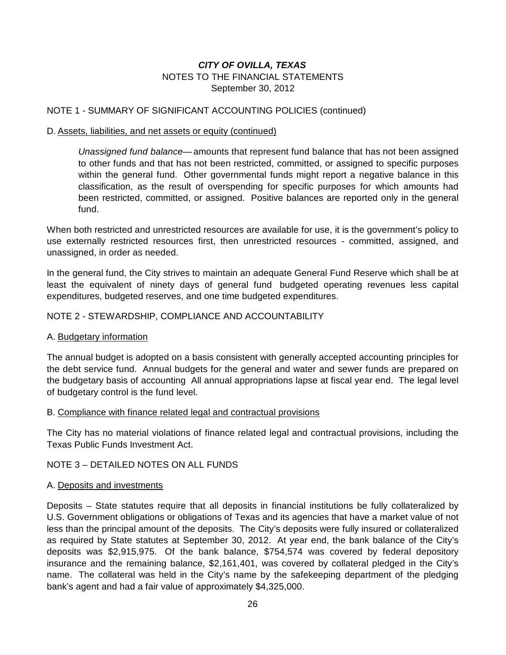#### NOTE 1 - SUMMARY OF SIGNIFICANT ACCOUNTING POLICIES (continued)

#### D. Assets, liabilities, and net assets or equity (continued)

*Unassigned fund balance—* amounts that represent fund balance that has not been assigned to other funds and that has not been restricted, committed, or assigned to specific purposes within the general fund. Other governmental funds might report a negative balance in this classification, as the result of overspending for specific purposes for which amounts had been restricted, committed, or assigned. Positive balances are reported only in the general fund.

When both restricted and unrestricted resources are available for use, it is the government's policy to use externally restricted resources first, then unrestricted resources - committed, assigned, and unassigned, in order as needed.

In the general fund, the City strives to maintain an adequate General Fund Reserve which shall be at least the equivalent of ninety days of general fund budgeted operating revenues less capital expenditures, budgeted reserves, and one time budgeted expenditures.

#### NOTE 2 - STEWARDSHIP, COMPLIANCE AND ACCOUNTABILITY

#### A. Budgetary information

The annual budget is adopted on a basis consistent with generally accepted accounting principles for the debt service fund. Annual budgets for the general and water and sewer funds are prepared on the budgetary basis of accounting All annual appropriations lapse at fiscal year end. The legal level of budgetary control is the fund level.

#### B. Compliance with finance related legal and contractual provisions

The City has no material violations of finance related legal and contractual provisions, including the Texas Public Funds Investment Act.

#### NOTE 3 – DETAILED NOTES ON ALL FUNDS

#### A. Deposits and investments

Deposits – State statutes require that all deposits in financial institutions be fully collateralized by U.S. Government obligations or obligations of Texas and its agencies that have a market value of not less than the principal amount of the deposits. The City's deposits were fully insured or collateralized as required by State statutes at September 30, 2012. At year end, the bank balance of the City's deposits was \$2,915,975. Of the bank balance, \$754,574 was covered by federal depository insurance and the remaining balance, \$2,161,401, was covered by collateral pledged in the City's name. The collateral was held in the City's name by the safekeeping department of the pledging bank's agent and had a fair value of approximately \$4,325,000.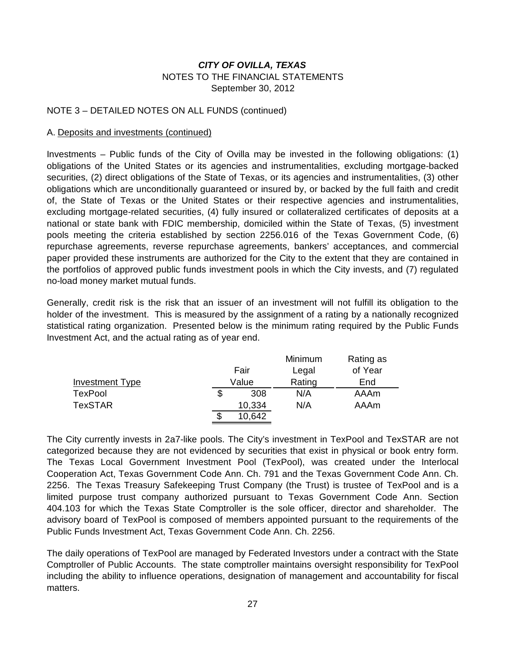#### NOTE 3 – DETAILED NOTES ON ALL FUNDS (continued)

#### A. Deposits and investments (continued)

Investments – Public funds of the City of Ovilla may be invested in the following obligations: (1) obligations of the United States or its agencies and instrumentalities, excluding mortgage-backed securities, (2) direct obligations of the State of Texas, or its agencies and instrumentalities, (3) other obligations which are unconditionally guaranteed or insured by, or backed by the full faith and credit of, the State of Texas or the United States or their respective agencies and instrumentalities, excluding mortgage-related securities, (4) fully insured or collateralized certificates of deposits at a national or state bank with FDIC membership, domiciled within the State of Texas, (5) investment pools meeting the criteria established by section 2256.016 of the Texas Government Code, (6) repurchase agreements, reverse repurchase agreements, bankers' acceptances, and commercial paper provided these instruments are authorized for the City to the extent that they are contained in the portfolios of approved public funds investment pools in which the City invests, and (7) regulated no-load money market mutual funds.

Generally, credit risk is the risk that an issuer of an investment will not fulfill its obligation to the holder of the investment. This is measured by the assignment of a rating by a nationally recognized statistical rating organization. Presented below is the minimum rating required by the Public Funds Investment Act, and the actual rating as of year end.

|                 |    |        | Minimum | Rating as |
|-----------------|----|--------|---------|-----------|
|                 |    | Fair   | Legal   | of Year   |
| Investment Type |    | Value  | Rating  | End       |
| TexPool         | \$ | 308    | N/A     | AAAm      |
| TexSTAR         |    | 10,334 | N/A     | AAAm      |
|                 | S  | 10,642 |         |           |

The City currently invests in 2a7-like pools. The City's investment in TexPool and TexSTAR are not categorized because they are not evidenced by securities that exist in physical or book entry form. The Texas Local Government Investment Pool (TexPool), was created under the Interlocal Cooperation Act, Texas Government Code Ann. Ch. 791 and the Texas Government Code Ann. Ch. 2256. The Texas Treasury Safekeeping Trust Company (the Trust) is trustee of TexPool and is a limited purpose trust company authorized pursuant to Texas Government Code Ann. Section 404.103 for which the Texas State Comptroller is the sole officer, director and shareholder. The advisory board of TexPool is composed of members appointed pursuant to the requirements of the Public Funds Investment Act, Texas Government Code Ann. Ch. 2256.

The daily operations of TexPool are managed by Federated Investors under a contract with the State Comptroller of Public Accounts. The state comptroller maintains oversight responsibility for TexPool including the ability to influence operations, designation of management and accountability for fiscal matters.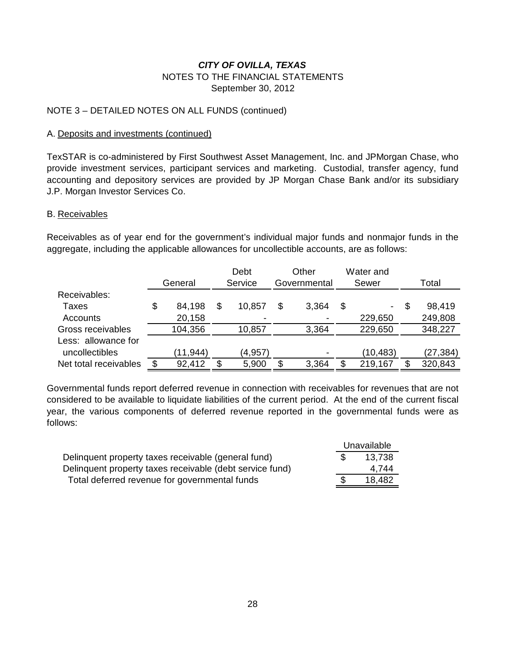### NOTE 3 – DETAILED NOTES ON ALL FUNDS (continued)

#### A. Deposits and investments (continued)

TexSTAR is co-administered by First Southwest Asset Management, Inc. and JPMorgan Chase, who provide investment services, participant services and marketing. Custodial, transfer agency, fund accounting and depository services are provided by JP Morgan Chase Bank and/or its subsidiary J.P. Morgan Investor Services Co.

#### B. Receivables

Receivables as of year end for the government's individual major funds and nonmajor funds in the aggregate, including the applicable allowances for uncollectible accounts, are as follows:

|                       |              | Debt                     | Other        | Water and |          |
|-----------------------|--------------|--------------------------|--------------|-----------|----------|
|                       | General      | Service                  | Governmental | Sewer     | Total    |
| Receivables:          |              |                          |              |           |          |
| Taxes                 | \$<br>84,198 | \$<br>10,857             | \$<br>3,364  | \$<br>-   | 98,419   |
| Accounts              | 20,158       | $\overline{\phantom{0}}$ |              | 229,650   | 249,808  |
| Gross receivables     | 104,356      | 10,857                   | 3,364        | 229,650   | 348,227  |
| Less: allowance for   |              |                          |              |           |          |
| uncollectibles        | (11, 944)    | (4, 957)                 |              | (10, 483) | (27,384) |
| Net total receivables | \$<br>92,412 | \$<br>5,900              | \$<br>3,364  | 219,167   | 320,843  |

Governmental funds report deferred revenue in connection with receivables for revenues that are not considered to be available to liquidate liabilities of the current period. At the end of the current fiscal year, the various components of deferred revenue reported in the governmental funds were as follows:

|                                                          |      | Unavailable |
|----------------------------------------------------------|------|-------------|
| Delinguent property taxes receivable (general fund)      |      | 13.738      |
| Delinquent property taxes receivable (debt service fund) |      | 4.744       |
| Total deferred revenue for governmental funds            | - \$ | 18.482      |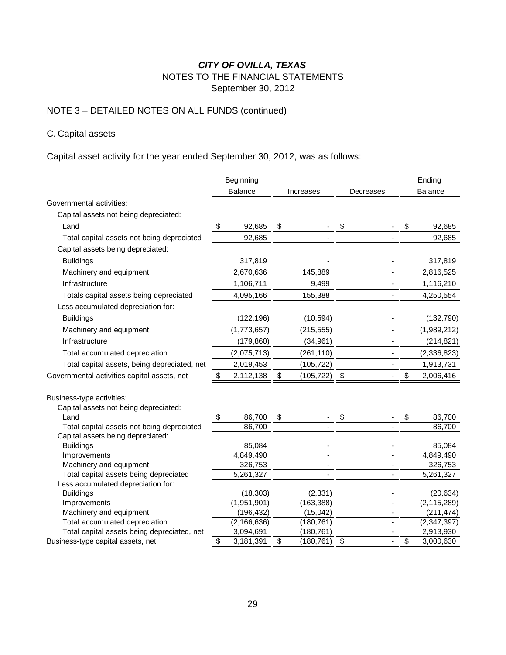# NOTE 3 – DETAILED NOTES ON ALL FUNDS (continued)

# C. Capital assets

Capital asset activity for the year ended September 30, 2012, was as follows:

|                                                        | Beginning              |                          |            |                                           | Ending                 |
|--------------------------------------------------------|------------------------|--------------------------|------------|-------------------------------------------|------------------------|
|                                                        | <b>Balance</b>         |                          | Increases  | Decreases                                 | Balance                |
| Governmental activities:                               |                        |                          |            |                                           |                        |
| Capital assets not being depreciated:                  |                        |                          |            |                                           |                        |
| Land                                                   | \$<br>92,685           | \$                       |            | \$                                        | \$<br>92,685           |
| Total capital assets not being depreciated             | 92,685                 |                          |            |                                           | 92,685                 |
| Capital assets being depreciated:                      |                        |                          |            |                                           |                        |
| <b>Buildings</b>                                       | 317,819                |                          |            |                                           | 317,819                |
| Machinery and equipment                                | 2,670,636              |                          | 145,889    |                                           | 2,816,525              |
| Infrastructure                                         | 1,106,711              |                          | 9,499      |                                           | 1,116,210              |
| Totals capital assets being depreciated                | 4,095,166              |                          | 155,388    |                                           | 4,250,554              |
| Less accumulated depreciation for:                     |                        |                          |            |                                           |                        |
| <b>Buildings</b>                                       | (122, 196)             |                          | (10, 594)  |                                           | (132, 790)             |
| Machinery and equipment                                | (1,773,657)            |                          | (215, 555) |                                           | (1,989,212)            |
| Infrastructure                                         | (179, 860)             |                          | (34, 961)  |                                           | (214, 821)             |
| Total accumulated depreciation                         | (2,075,713)            |                          | (261, 110) | ÷,                                        | (2,336,823)            |
| Total capital assets, being depreciated, net           | 2,019,453              |                          | (105, 722) |                                           | 1,913,731              |
| Governmental activities capital assets, net            | \$<br>2,112,138        | \$                       | (105, 722) | \$                                        | \$<br>2,006,416        |
|                                                        |                        |                          |            |                                           |                        |
| Business-type activities:                              |                        |                          |            |                                           |                        |
| Capital assets not being depreciated:<br>Land          |                        |                          |            |                                           |                        |
| Total capital assets not being depreciated             | \$<br>86,700<br>86,700 | \$                       |            | \$                                        | \$<br>86,700<br>86,700 |
| Capital assets being depreciated:                      |                        |                          |            |                                           |                        |
| <b>Buildings</b>                                       | 85,084                 |                          |            |                                           | 85,084                 |
| Improvements                                           | 4,849,490              |                          |            |                                           | 4,849,490              |
| Machinery and equipment                                | 326,753                |                          |            |                                           | 326,753                |
| Total capital assets being depreciated                 | 5,261,327              |                          |            |                                           | 5,261,327              |
| Less accumulated depreciation for:<br><b>Buildings</b> | (18, 303)              |                          | (2, 331)   |                                           | (20, 634)              |
| Improvements                                           | (1,951,901)            |                          | (163, 388) |                                           | (2, 115, 289)          |
| Machinery and equipment                                | (196, 432)             |                          | (15, 042)  |                                           | (211, 474)             |
| Total accumulated depreciation                         | (2, 166, 636)          |                          | (180, 761) | $\overline{\phantom{a}}$                  | (2,347,397)            |
| Total capital assets being depreciated, net            | 3,094,691              |                          | (180, 761) | $\overline{\phantom{a}}$                  | 2,913,930              |
| Business-type capital assets, net                      | \$<br>3,181,391        | $\overline{\mathcal{G}}$ | (180, 761) | $\overline{\mathbf{3}}$<br>$\blacksquare$ | \$<br>3,000,630        |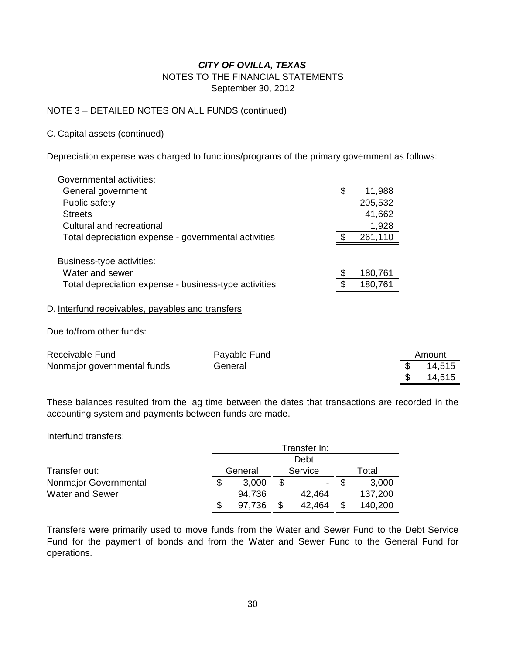### NOTE 3 – DETAILED NOTES ON ALL FUNDS (continued)

#### C. Capital assets (continued)

Depreciation expense was charged to functions/programs of the primary government as follows:

| Governmental activities:                              |               |
|-------------------------------------------------------|---------------|
| General government                                    | \$<br>11,988  |
| Public safety                                         | 205,532       |
| <b>Streets</b>                                        | 41,662        |
| Cultural and recreational                             | 1,928         |
| Total depreciation expense - governmental activities  | 261,110       |
| Business-type activities:                             |               |
| Water and sewer                                       | \$<br>180,761 |
| Total depreciation expense - business-type activities | \$<br>180,761 |

#### D. Interfund receivables, payables and transfers

Due to/from other funds:

| Receivable Fund             | Payable Fund | Amount |
|-----------------------------|--------------|--------|
| Nonmajor governmental funds | General      | 14.515 |
|                             |              | 14,515 |

These balances resulted from the lag time between the dates that transactions are recorded in the accounting system and payments between funds are made.

Interfund transfers:

|                        |    | Transfer In:       |  |        |  |         |  |  |
|------------------------|----|--------------------|--|--------|--|---------|--|--|
| Debt                   |    |                    |  |        |  |         |  |  |
| Transfer out:          |    | Service<br>General |  |        |  | Total   |  |  |
| Nonmajor Governmental  | \$ | 3,000              |  | -      |  | 3,000   |  |  |
| <b>Water and Sewer</b> |    | 94,736             |  | 42.464 |  | 137,200 |  |  |
|                        |    | 97,736             |  | 42.464 |  | 140,200 |  |  |

Transfers were primarily used to move funds from the Water and Sewer Fund to the Debt Service Fund for the payment of bonds and from the Water and Sewer Fund to the General Fund for operations.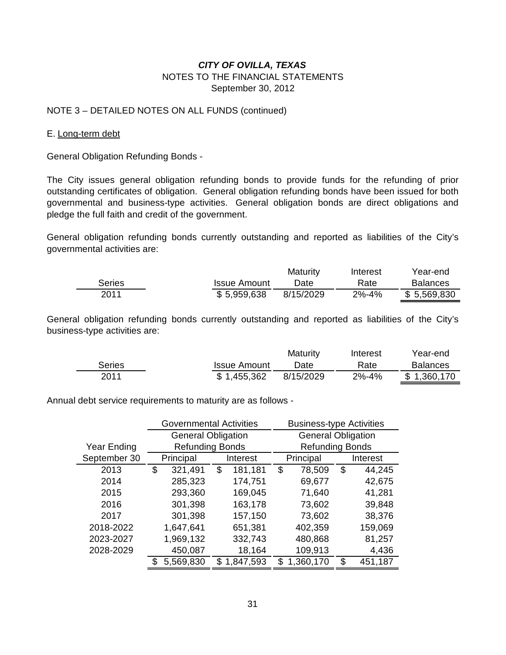#### NOTE 3 – DETAILED NOTES ON ALL FUNDS (continued)

#### E. Long-term debt

General Obligation Refunding Bonds -

The City issues general obligation refunding bonds to provide funds for the refunding of prior outstanding certificates of obligation. General obligation refunding bonds have been issued for both governmental and business-type activities. General obligation bonds are direct obligations and pledge the full faith and credit of the government.

General obligation refunding bonds currently outstanding and reported as liabilities of the City's governmental activities are:

|        |                     | Maturity  | Interest | Year-end        |
|--------|---------------------|-----------|----------|-----------------|
| Series | <b>Issue Amount</b> | Date      | Rate     | <b>Balances</b> |
| 2011   | \$5,959,638         | 8/15/2029 | 2%-4%    | \$5,569,830     |

General obligation refunding bonds currently outstanding and reported as liabilities of the City's business-type activities are:

|        |                     | Maturity  | Interest | Year-end        |
|--------|---------------------|-----------|----------|-----------------|
| Series | <b>Issue Amount</b> | Date      | Rate     | <b>Balances</b> |
| 2011   | \$1,455,362         | 8/15/2029 | 2%-4%    | \$1,360,170     |

Annual debt service requirements to maturity are as follows -

|              | <b>Governmental Activities</b> |                           |               | <b>Business-type Activities</b> |                           |    |          |
|--------------|--------------------------------|---------------------------|---------------|---------------------------------|---------------------------|----|----------|
|              |                                | <b>General Obligation</b> |               |                                 | <b>General Obligation</b> |    |          |
| Year Ending  |                                | <b>Refunding Bonds</b>    |               |                                 | <b>Refunding Bonds</b>    |    |          |
| September 30 |                                | Principal                 | Interest      |                                 | Principal                 |    | Interest |
| 2013         | \$                             | 321,491                   | \$<br>181,181 | \$                              | 78,509                    | \$ | 44,245   |
| 2014         |                                | 285,323                   | 174,751       |                                 | 69,677                    |    | 42,675   |
| 2015         |                                | 293,360                   | 169,045       |                                 | 71,640                    |    | 41,281   |
| 2016         |                                | 301,398                   | 163,178       |                                 | 73,602                    |    | 39,848   |
| 2017         |                                | 301,398                   | 157,150       |                                 | 73,602                    |    | 38,376   |
| 2018-2022    |                                | 1,647,641                 | 651,381       |                                 | 402,359                   |    | 159,069  |
| 2023-2027    |                                | 1,969,132                 | 332,743       |                                 | 480,868                   |    | 81,257   |
| 2028-2029    |                                | 450,087                   | 18,164        |                                 | 109,913                   |    | 4,436    |
|              | S                              | 5,569,830                 | \$1,847,593   | S.                              | 1,360,170                 | \$ | 451,187  |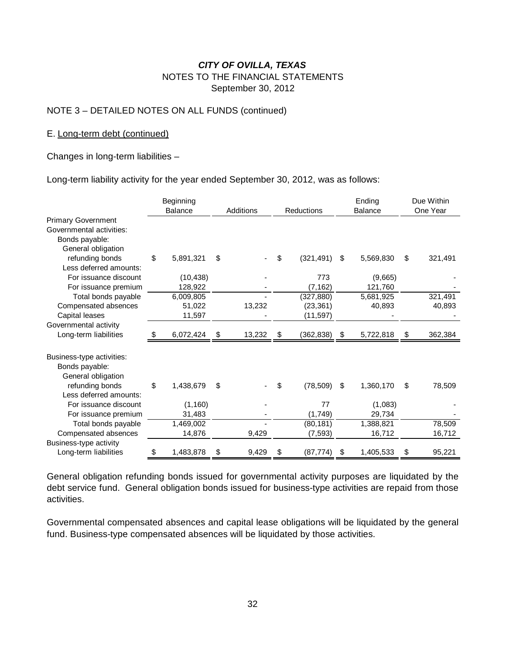#### NOTE 3 – DETAILED NOTES ON ALL FUNDS (continued)

#### E. Long-term debt (continued)

#### Changes in long-term liabilities –

Long-term liability activity for the year ended September 30, 2012, was as follows:

|                                                                                               | Beginning<br><b>Balance</b>   | Additions    | <b>Reductions</b>                    | Ending<br>Balance   | Due Within<br>One Year |
|-----------------------------------------------------------------------------------------------|-------------------------------|--------------|--------------------------------------|---------------------|------------------------|
| <b>Primary Government</b><br>Governmental activities:<br>Bonds payable:<br>General obligation |                               |              |                                      |                     |                        |
| refunding bonds<br>Less deferred amounts:                                                     | \$<br>5,891,321               | \$           | \$<br>(321, 491)                     | \$<br>5,569,830     | \$<br>321,491          |
| For issuance discount<br>For issuance premium                                                 | (10, 438)<br>128,922          |              | 773<br>(7, 162)                      | (9,665)<br>121,760  |                        |
| Total bonds payable<br>Compensated absences<br>Capital leases                                 | 6,009,805<br>51,022<br>11,597 | 13,232       | (327, 880)<br>(23, 361)<br>(11, 597) | 5,681,925<br>40,893 | 321,491<br>40,893      |
| Governmental activity<br>Long-term liabilities                                                | 6,072,424                     | \$<br>13,232 | \$<br>$(362, 838)$ \$                | 5,722,818           | \$<br>362,384          |
| Business-type activities:<br>Bonds payable:<br>General obligation                             |                               |              |                                      |                     |                        |
| refunding bonds<br>Less deferred amounts:                                                     | \$<br>1,438,679               | \$           | \$<br>(78, 509)                      | \$<br>1,360,170     | \$<br>78,509           |
| For issuance discount<br>For issuance premium                                                 | (1, 160)<br>31,483            |              | 77<br>(1,749)                        | (1,083)<br>29,734   |                        |
| Total bonds payable<br>Compensated absences                                                   | 1,469,002<br>14,876           | 9,429        | (80, 181)<br>(7, 593)                | 1,388,821<br>16,712 | 78,509<br>16,712       |
| Business-type activity<br>Long-term liabilities                                               | \$<br>1,483,878               | \$<br>9,429  | \$<br>(87, 774)                      | \$<br>1,405,533     | \$<br>95,221           |

General obligation refunding bonds issued for governmental activity purposes are liquidated by the debt service fund. General obligation bonds issued for business-type activities are repaid from those activities.

Governmental compensated absences and capital lease obligations will be liquidated by the general fund. Business-type compensated absences will be liquidated by those activities.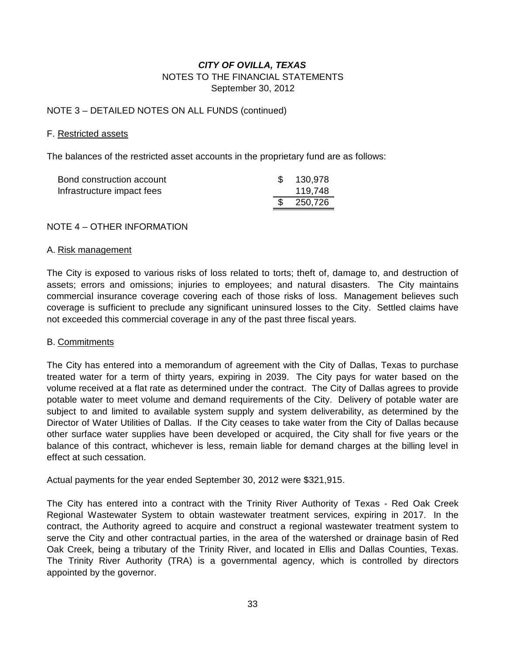#### NOTE 3 – DETAILED NOTES ON ALL FUNDS (continued)

#### F. Restricted assets

The balances of the restricted asset accounts in the proprietary fund are as follows:

| Bond construction account  | 130,978 |
|----------------------------|---------|
| Infrastructure impact fees | 119.748 |
|                            | 250,726 |

#### NOTE 4 – OTHER INFORMATION

#### A. Risk management

The City is exposed to various risks of loss related to torts; theft of, damage to, and destruction of assets; errors and omissions; injuries to employees; and natural disasters. The City maintains commercial insurance coverage covering each of those risks of loss. Management believes such coverage is sufficient to preclude any significant uninsured losses to the City. Settled claims have not exceeded this commercial coverage in any of the past three fiscal years.

#### B. Commitments

The City has entered into a memorandum of agreement with the City of Dallas, Texas to purchase treated water for a term of thirty years, expiring in 2039. The City pays for water based on the volume received at a flat rate as determined under the contract. The City of Dallas agrees to provide potable water to meet volume and demand requirements of the City. Delivery of potable water are subject to and limited to available system supply and system deliverability, as determined by the Director of Water Utilities of Dallas. If the City ceases to take water from the City of Dallas because other surface water supplies have been developed or acquired, the City shall for five years or the balance of this contract, whichever is less, remain liable for demand charges at the billing level in effect at such cessation.

Actual payments for the year ended September 30, 2012 were \$321,915.

The City has entered into a contract with the Trinity River Authority of Texas - Red Oak Creek Regional Wastewater System to obtain wastewater treatment services, expiring in 2017. In the contract, the Authority agreed to acquire and construct a regional wastewater treatment system to serve the City and other contractual parties, in the area of the watershed or drainage basin of Red Oak Creek, being a tributary of the Trinity River, and located in Ellis and Dallas Counties, Texas. The Trinity River Authority (TRA) is a governmental agency, which is controlled by directors appointed by the governor.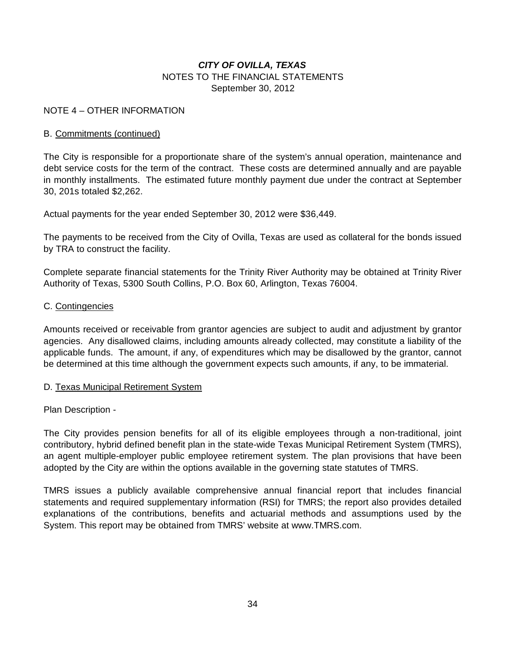#### NOTE 4 – OTHER INFORMATION

#### B. Commitments (continued)

The City is responsible for a proportionate share of the system's annual operation, maintenance and debt service costs for the term of the contract. These costs are determined annually and are payable in monthly installments. The estimated future monthly payment due under the contract at September 30, 201s totaled \$2,262.

Actual payments for the year ended September 30, 2012 were \$36,449.

The payments to be received from the City of Ovilla, Texas are used as collateral for the bonds issued by TRA to construct the facility.

Complete separate financial statements for the Trinity River Authority may be obtained at Trinity River Authority of Texas, 5300 South Collins, P.O. Box 60, Arlington, Texas 76004.

#### C. Contingencies

Amounts received or receivable from grantor agencies are subject to audit and adjustment by grantor agencies. Any disallowed claims, including amounts already collected, may constitute a liability of the applicable funds. The amount, if any, of expenditures which may be disallowed by the grantor, cannot be determined at this time although the government expects such amounts, if any, to be immaterial.

#### D. Texas Municipal Retirement System

#### Plan Description -

The City provides pension benefits for all of its eligible employees through a non-traditional, joint contributory, hybrid defined benefit plan in the state-wide Texas Municipal Retirement System (TMRS), an agent multiple-employer public employee retirement system. The plan provisions that have been adopted by the City are within the options available in the governing state statutes of TMRS.

TMRS issues a publicly available comprehensive annual financial report that includes financial statements and required supplementary information (RSI) for TMRS; the report also provides detailed explanations of the contributions, benefits and actuarial methods and assumptions used by the System. This report may be obtained from TMRS' website at www.TMRS.com.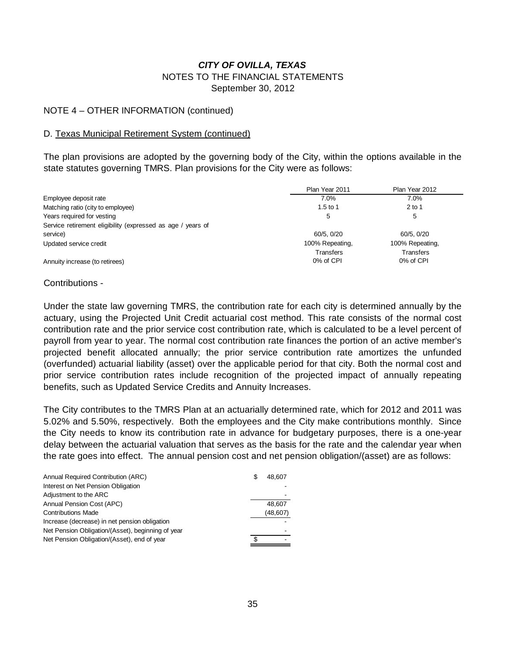#### NOTE 4 – OTHER INFORMATION (continued)

#### D. Texas Municipal Retirement System (continued)

The plan provisions are adopted by the governing body of the City, within the options available in the state statutes governing TMRS. Plan provisions for the City were as follows:

|                                                             | Plan Year 2011  | Plan Year 2012  |
|-------------------------------------------------------------|-----------------|-----------------|
| Employee deposit rate                                       | 7.0%            | 7.0%            |
| Matching ratio (city to employee)                           | 1.5 to 1        | $2$ to 1        |
| Years required for vesting                                  | 5               | 5               |
| Service retirement eligibility (expressed as age / years of |                 |                 |
| service)                                                    | 60/5, 0/20      | 60/5, 0/20      |
| Updated service credit                                      | 100% Repeating, | 100% Repeating, |
|                                                             | Transfers       | Transfers       |
| Annuity increase (to retirees)                              | 0% of CPI       | 0% of CPI       |

#### Contributions -

Under the state law governing TMRS, the contribution rate for each city is determined annually by the actuary, using the Projected Unit Credit actuarial cost method. This rate consists of the normal cost contribution rate and the prior service cost contribution rate, which is calculated to be a level percent of payroll from year to year. The normal cost contribution rate finances the portion of an active member's projected benefit allocated annually; the prior service contribution rate amortizes the unfunded (overfunded) actuarial liability (asset) over the applicable period for that city. Both the normal cost and prior service contribution rates include recognition of the projected impact of annually repeating benefits, such as Updated Service Credits and Annuity Increases.

The City contributes to the TMRS Plan at an actuarially determined rate, which for 2012 and 2011 was 5.02% and 5.50%, respectively. Both the employees and the City make contributions monthly. Since the City needs to know its contribution rate in advance for budgetary purposes, there is a one-year delay between the actuarial valuation that serves as the basis for the rate and the calendar year when the rate goes into effect. The annual pension cost and net pension obligation/(asset) are as follows:

| Annual Required Contribution (ARC)                | S | 48.607    |
|---------------------------------------------------|---|-----------|
| Interest on Net Pension Obligation                |   |           |
| Adjustment to the ARC                             |   |           |
| Annual Pension Cost (APC)                         |   | 48.607    |
| <b>Contributions Made</b>                         |   | (48, 607) |
| Increase (decrease) in net pension obligation     |   |           |
| Net Pension Obligation/(Asset), beginning of year |   |           |
| Net Pension Obligation/(Asset), end of year       |   |           |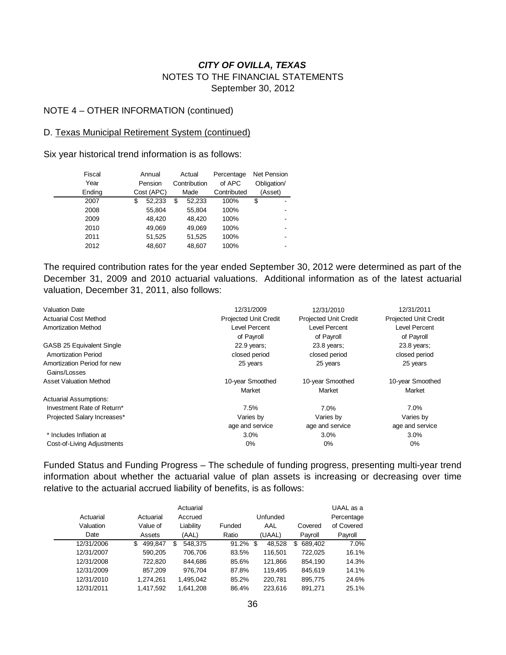#### NOTE 4 – OTHER INFORMATION (continued)

#### D. Texas Municipal Retirement System (continued)

Six year historical trend information is as follows:

| Fiscal | Annual       | Actual       | Percentage  | <b>Net Pension</b> |
|--------|--------------|--------------|-------------|--------------------|
| Year   | Pension      | Contribution | of APC      | Obligation/        |
| Ending | Cost (APC)   | Made         | Contributed | (Asset)            |
| 2007   | 52.233<br>\$ | 52.233<br>\$ | 100%        | \$<br>۰            |
| 2008   | 55,804       | 55,804       | 100%        |                    |
| 2009   | 48.420       | 48.420       | 100%        |                    |
| 2010   | 49,069       | 49,069       | 100%        |                    |
| 2011   | 51,525       | 51.525       | 100%        |                    |
| 2012   | 48.607       | 48.607       | 100%        |                    |

The required contribution rates for the year ended September 30, 2012 were determined as part of the December 31, 2009 and 2010 actuarial valuations. Additional information as of the latest actuarial valuation, December 31, 2011, also follows:

| <b>Valuation Date</b>         | 12/31/2009                   | 12/31/2010                   | 12/31/2011                   |
|-------------------------------|------------------------------|------------------------------|------------------------------|
| <b>Actuarial Cost Method</b>  | <b>Projected Unit Credit</b> | <b>Projected Unit Credit</b> | <b>Projected Unit Credit</b> |
| <b>Amortization Method</b>    | Level Percent                | Level Percent                | Level Percent                |
|                               | of Payroll                   | of Payroll                   | of Payroll                   |
| GASB 25 Equivalent Single     | $22.9$ years;                | 23.8 years;                  | $23.8$ years;                |
| Amortization Period           | closed period                | closed period                | closed period                |
| Amortization Period for new   | 25 years                     | 25 years                     | 25 years                     |
| Gains/Losses                  |                              |                              |                              |
| Asset Valuation Method        | 10-year Smoothed             | 10-year Smoothed             | 10-year Smoothed             |
|                               | Market                       | Market                       | Market                       |
| <b>Actuarial Assumptions:</b> |                              |                              |                              |
| Investment Rate of Return*    | 7.5%                         | 7.0%                         | 7.0%                         |
| Projected Salary Increases*   | Varies by                    | Varies by                    | Varies by                    |
|                               | age and service              | age and service              | age and service              |
| * Includes Inflation at       | $3.0\%$                      | 3.0%                         | 3.0%                         |
| Cost-of-Living Adjustments    | 0%                           | $0\%$                        | 0%                           |

Funded Status and Funding Progress – The schedule of funding progress, presenting multi-year trend information about whether the actuarial value of plan assets is increasing or decreasing over time relative to the actuarial accrued liability of benefits, is as follows:

|            |               | Actuarial    |             |          |                | UAAL as a  |
|------------|---------------|--------------|-------------|----------|----------------|------------|
| Actuarial  | Actuarial     | Accrued      |             | Unfunded |                | Percentage |
| Valuation  | Value of      | Liability    | Funded      | AAL      | Covered        | of Covered |
| Date       | Assets        | (AAL)        | Ratio       | (UAAL)   | Payroll        | Payroll    |
| 12/31/2006 | 499.847<br>\$ | 548.375<br>S | $91.2\%$ \$ | 48,528   | 689.402<br>\$. | 7.0%       |
| 12/31/2007 | 590,205       | 706,706      | 83.5%       | 116.501  | 722.025        | 16.1%      |
| 12/31/2008 | 722,820       | 844.686      | 85.6%       | 121.866  | 854.190        | 14.3%      |
| 12/31/2009 | 857,209       | 976.704      | 87.8%       | 119.495  | 845.619        | 14.1%      |
| 12/31/2010 | 1,274,261     | 1,495,042    | 85.2%       | 220.781  | 895.775        | 24.6%      |
| 12/31/2011 | 1,417,592     | 1,641,208    | 86.4%       | 223.616  | 891.271        | 25.1%      |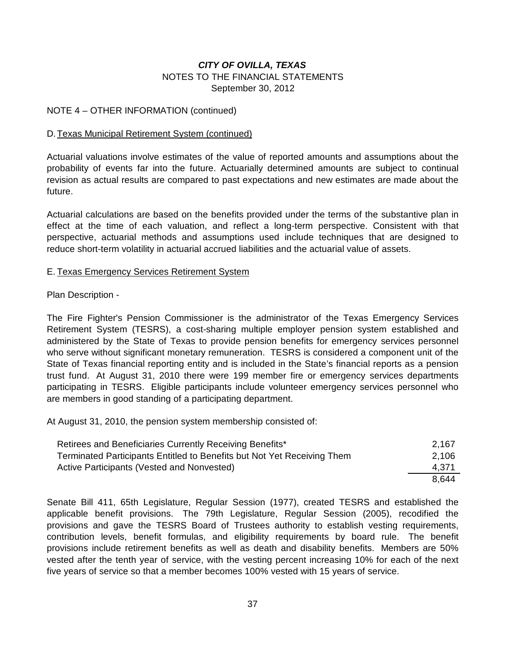#### NOTE 4 – OTHER INFORMATION (continued)

#### D.Texas Municipal Retirement System (continued)

Actuarial valuations involve estimates of the value of reported amounts and assumptions about the probability of events far into the future. Actuarially determined amounts are subject to continual revision as actual results are compared to past expectations and new estimates are made about the future.

Actuarial calculations are based on the benefits provided under the terms of the substantive plan in effect at the time of each valuation, and reflect a long-term perspective. Consistent with that perspective, actuarial methods and assumptions used include techniques that are designed to reduce short-term volatility in actuarial accrued liabilities and the actuarial value of assets.

#### E. Texas Emergency Services Retirement System

Plan Description -

The Fire Fighter's Pension Commissioner is the administrator of the Texas Emergency Services Retirement System (TESRS), a cost-sharing multiple employer pension system established and administered by the State of Texas to provide pension benefits for emergency services personnel who serve without significant monetary remuneration. TESRS is considered a component unit of the State of Texas financial reporting entity and is included in the State's financial reports as a pension trust fund. At August 31, 2010 there were 199 member fire or emergency services departments participating in TESRS. Eligible participants include volunteer emergency services personnel who are members in good standing of a participating department.

At August 31, 2010, the pension system membership consisted of:

| Retirees and Beneficiaries Currently Receiving Benefits*                | 2.167 |
|-------------------------------------------------------------------------|-------|
| Terminated Participants Entitled to Benefits but Not Yet Receiving Them | 2.106 |
| Active Participants (Vested and Nonvested)                              | 4,371 |
|                                                                         | 8.644 |

Senate Bill 411, 65th Legislature, Regular Session (1977), created TESRS and established the applicable benefit provisions. The 79th Legislature, Regular Session (2005), recodified the provisions and gave the TESRS Board of Trustees authority to establish vesting requirements, contribution levels, benefit formulas, and eligibility requirements by board rule. The benefit provisions include retirement benefits as well as death and disability benefits. Members are 50% vested after the tenth year of service, with the vesting percent increasing 10% for each of the next five years of service so that a member becomes 100% vested with 15 years of service.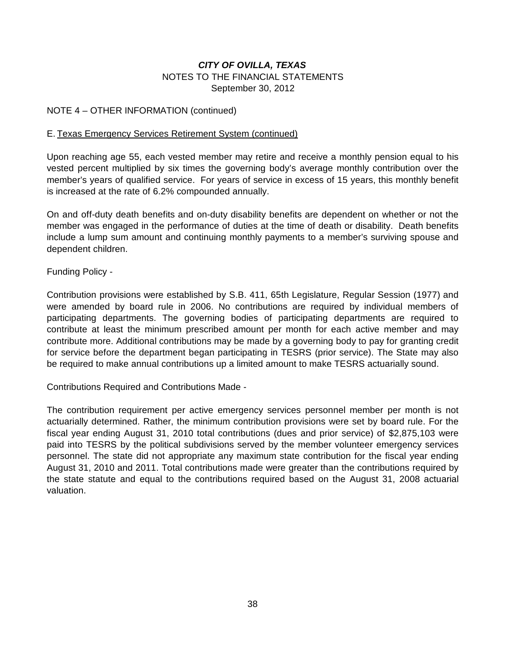#### NOTE 4 – OTHER INFORMATION (continued)

#### E. Texas Emergency Services Retirement System (continued)

Upon reaching age 55, each vested member may retire and receive a monthly pension equal to his vested percent multiplied by six times the governing body's average monthly contribution over the member's years of qualified service. For years of service in excess of 15 years, this monthly benefit is increased at the rate of 6.2% compounded annually.

On and off-duty death benefits and on-duty disability benefits are dependent on whether or not the member was engaged in the performance of duties at the time of death or disability. Death benefits include a lump sum amount and continuing monthly payments to a member's surviving spouse and dependent children.

#### Funding Policy -

Contribution provisions were established by S.B. 411, 65th Legislature, Regular Session (1977) and were amended by board rule in 2006. No contributions are required by individual members of participating departments. The governing bodies of participating departments are required to contribute at least the minimum prescribed amount per month for each active member and may contribute more. Additional contributions may be made by a governing body to pay for granting credit for service before the department began participating in TESRS (prior service). The State may also be required to make annual contributions up a limited amount to make TESRS actuarially sound.

Contributions Required and Contributions Made -

The contribution requirement per active emergency services personnel member per month is not actuarially determined. Rather, the minimum contribution provisions were set by board rule. For the fiscal year ending August 31, 2010 total contributions (dues and prior service) of \$2,875,103 were paid into TESRS by the political subdivisions served by the member volunteer emergency services personnel. The state did not appropriate any maximum state contribution for the fiscal year ending August 31, 2010 and 2011. Total contributions made were greater than the contributions required by the state statute and equal to the contributions required based on the August 31, 2008 actuarial valuation.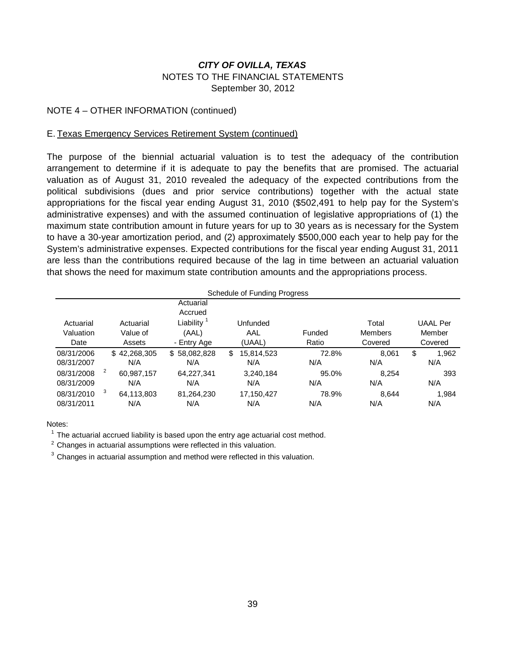#### NOTE 4 – OTHER INFORMATION (continued)

#### E. Texas Emergency Services Retirement System (continued)

The purpose of the biennial actuarial valuation is to test the adequacy of the contribution arrangement to determine if it is adequate to pay the benefits that are promised. The actuarial valuation as of August 31, 2010 revealed the adequacy of the expected contributions from the political subdivisions (dues and prior service contributions) together with the actual state appropriations for the fiscal year ending August 31, 2010 (\$502,491 to help pay for the System's administrative expenses) and with the assumed continuation of legislative appropriations of (1) the maximum state contribution amount in future years for up to 30 years as is necessary for the System to have a 30-year amortization period, and (2) approximately \$500,000 each year to help pay for the System's administrative expenses. Expected contributions for the fiscal year ending August 31, 2011 are less than the contributions required because of the lag in time between an actuarial valuation that shows the need for maximum state contribution amounts and the appropriations process.

|            | Schedule of Funding Progress |              |                  |        |                |                 |  |
|------------|------------------------------|--------------|------------------|--------|----------------|-----------------|--|
|            |                              | Actuarial    |                  |        |                |                 |  |
|            |                              | Accrued      |                  |        |                |                 |  |
| Actuarial  | Actuarial                    | Liability    | Unfunded         |        | Total          | <b>UAAL Per</b> |  |
| Valuation  | Value of                     | (AAL)        | AAL              | Funded | <b>Members</b> | Member          |  |
| Date       | Assets                       | - Entry Age  | (UAAL)           | Ratio  | Covered        | Covered         |  |
| 08/31/2006 | \$42,268,305                 | \$58,082,828 | 15,814,523<br>\$ | 72.8%  | 8.061          | \$<br>1.962     |  |
| 08/31/2007 | N/A                          | N/A          | N/A              | N/A    | N/A            | N/A             |  |
| 08/31/2008 | 2<br>60,987,157              | 64,227,341   | 3,240,184        | 95.0%  | 8.254          | 393             |  |
| 08/31/2009 | N/A                          | N/A          | N/A              | N/A    | N/A            | N/A             |  |
| 08/31/2010 | 3<br>64,113,803              | 81,264,230   | 17,150,427       | 78.9%  | 8.644          | 1.984           |  |
| 08/31/2011 | N/A                          | N/A          | N/A              | N/A    | N/A            | N/A             |  |

Notes:

 $1$  The actuarial accrued liability is based upon the entry age actuarial cost method.

 $2$  Changes in actuarial assumptions were reflected in this valuation.

 $3$  Changes in actuarial assumption and method were reflected in this valuation.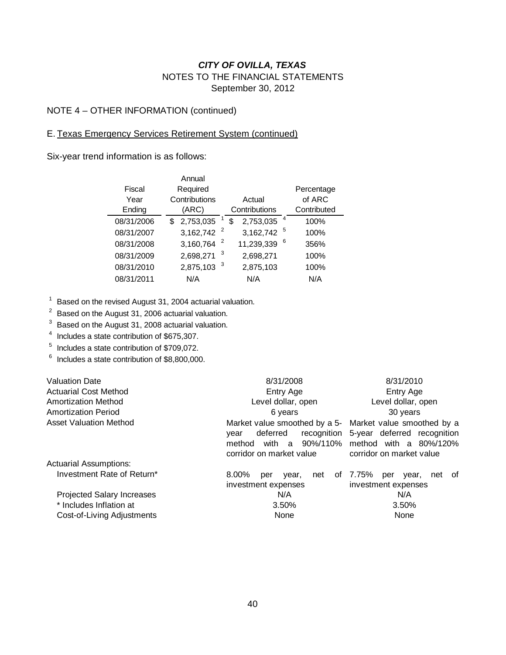# NOTE 4 – OTHER INFORMATION (continued)

# E. Texas Emergency Services Retirement System (continued)

Six-year trend information is as follows:

|            | Annual          |                                   |             |
|------------|-----------------|-----------------------------------|-------------|
| Fiscal     | Required        |                                   | Percentage  |
| Year       | Contributions   | Actual                            | of ARC      |
| Ending     | (ARC)           | Contributions                     | Contributed |
| 08/31/2006 | 2,753,035<br>\$ | 4<br>2,753,035<br>\$              | 100%        |
| 08/31/2007 | 3,162,742 $^2$  | 5<br>3,162,742                    | 100%        |
| 08/31/2008 | 3,160,764       | 6<br>$\overline{2}$<br>11,239,339 | 356%        |
| 08/31/2009 | 2,698,271       | -3<br>2,698,271                   | 100%        |
| 08/31/2010 | 2,875,103       | 3<br>2,875,103                    | 100%        |
| 08/31/2011 | N/A             | N/A                               | N/A         |

 $1$  Based on the revised August 31, 2004 actuarial valuation.

<sup>2</sup> Based on the August 31, 2006 actuarial valuation.

<sup>3</sup> Based on the August 31, 2008 actuarial valuation.

<sup>4</sup> Includes a state contribution of \$675,307.

<sup>5</sup> Includes a state contribution of \$709,072.

<sup>6</sup> Includes a state contribution of \$8,800,000.

| <b>Valuation Date</b>         | 8/31/2008                                                                                                                    | 8/31/2010                                                                                                           |  |  |  |  |  |  |
|-------------------------------|------------------------------------------------------------------------------------------------------------------------------|---------------------------------------------------------------------------------------------------------------------|--|--|--|--|--|--|
| <b>Actuarial Cost Method</b>  | Entry Age                                                                                                                    | Entry Age                                                                                                           |  |  |  |  |  |  |
| <b>Amortization Method</b>    | Level dollar, open                                                                                                           | Level dollar, open                                                                                                  |  |  |  |  |  |  |
| <b>Amortization Period</b>    | 6 years                                                                                                                      | 30 years                                                                                                            |  |  |  |  |  |  |
| <b>Asset Valuation Method</b> | Market value smoothed by a 5-<br>deferred<br>recognition<br>vear<br>90%/110%<br>with a<br>method<br>corridor on market value | Market value smoothed by a<br>5-year deferred recognition<br>method with a $80\%/120\%$<br>corridor on market value |  |  |  |  |  |  |
| <b>Actuarial Assumptions:</b> |                                                                                                                              |                                                                                                                     |  |  |  |  |  |  |
| Investment Rate of Return*    | 8.00%<br>net<br>per<br>vear,                                                                                                 | of 7.75%<br>of<br>per<br>vear,<br>net                                                                               |  |  |  |  |  |  |
|                               | investment expenses                                                                                                          | investment expenses                                                                                                 |  |  |  |  |  |  |
| Projected Salary Increases    | N/A<br>N/A                                                                                                                   |                                                                                                                     |  |  |  |  |  |  |
| * Includes Inflation at       | 3.50%                                                                                                                        | 3.50%                                                                                                               |  |  |  |  |  |  |
| Cost-of-Living Adjustments    | None<br>None                                                                                                                 |                                                                                                                     |  |  |  |  |  |  |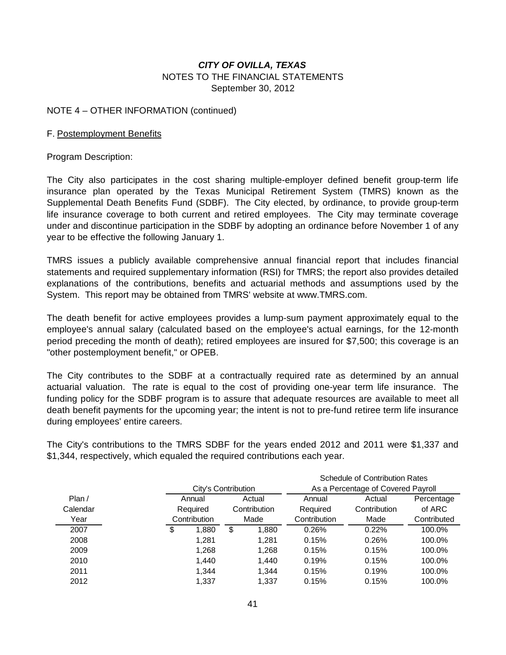#### NOTE 4 – OTHER INFORMATION (continued)

#### F. Postemployment Benefits

#### Program Description:

The City also participates in the cost sharing multiple-employer defined benefit group-term life insurance plan operated by the Texas Municipal Retirement System (TMRS) known as the Supplemental Death Benefits Fund (SDBF). The City elected, by ordinance, to provide group-term life insurance coverage to both current and retired employees. The City may terminate coverage under and discontinue participation in the SDBF by adopting an ordinance before November 1 of any year to be effective the following January 1.

TMRS issues a publicly available comprehensive annual financial report that includes financial statements and required supplementary information (RSI) for TMRS; the report also provides detailed explanations of the contributions, benefits and actuarial methods and assumptions used by the System. This report may be obtained from TMRS' website at www.TMRS.com.

The death benefit for active employees provides a lump-sum payment approximately equal to the employee's annual salary (calculated based on the employee's actual earnings, for the 12-month period preceding the month of death); retired employees are insured for \$7,500; this coverage is an "other postemployment benefit," or OPEB.

The City contributes to the SDBF at a contractually required rate as determined by an annual actuarial valuation. The rate is equal to the cost of providing one-year term life insurance. The funding policy for the SDBF program is to assure that adequate resources are available to meet all death benefit payments for the upcoming year; the intent is not to pre-fund retiree term life insurance during employees' entire careers.

The City's contributions to the TMRS SDBF for the years ended 2012 and 2011 were \$1,337 and \$1,344, respectively, which equaled the required contributions each year.

|          |        |                     |              |       |                                    | <b>Schedule of Contribution Rates</b> |             |  |  |  |  |  |
|----------|--------|---------------------|--------------|-------|------------------------------------|---------------------------------------|-------------|--|--|--|--|--|
|          |        | City's Contribution |              |       | As a Percentage of Covered Payroll |                                       |             |  |  |  |  |  |
| Plan/    | Annual |                     | Actual       |       | Annual                             | Actual                                | Percentage  |  |  |  |  |  |
| Calendar |        | Required            | Contribution |       | Required                           | Contribution                          | of ARC      |  |  |  |  |  |
| Year     |        | Contribution        | Made         |       | Contribution                       | Made                                  | Contributed |  |  |  |  |  |
| 2007     | \$     | 1.880               | \$           | 1,880 | 0.26%                              | 0.22%                                 | 100.0%      |  |  |  |  |  |
| 2008     |        | 1,281               |              | 1,281 | 0.15%                              | 0.26%                                 | 100.0%      |  |  |  |  |  |
| 2009     |        | 1.268               |              | 1,268 | 0.15%                              | 0.15%                                 | 100.0%      |  |  |  |  |  |
| 2010     |        | 1.440               |              | 1.440 | 0.19%                              | 0.15%                                 | 100.0%      |  |  |  |  |  |
| 2011     |        | 1.344               |              | 1.344 | 0.15%                              | 0.19%                                 | 100.0%      |  |  |  |  |  |
| 2012     |        | 1,337               |              | 1,337 | 0.15%                              | 0.15%                                 | 100.0%      |  |  |  |  |  |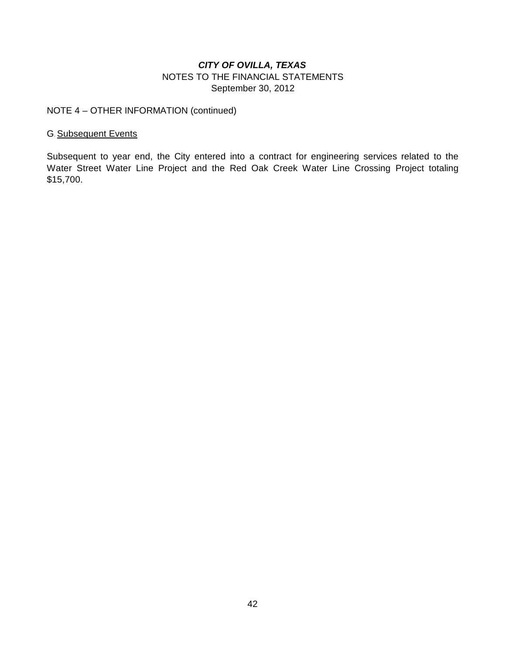## NOTE 4 – OTHER INFORMATION (continued)

# G.Subsequent Events

Subsequent to year end, the City entered into a contract for engineering services related to the Water Street Water Line Project and the Red Oak Creek Water Line Crossing Project totaling \$15,700.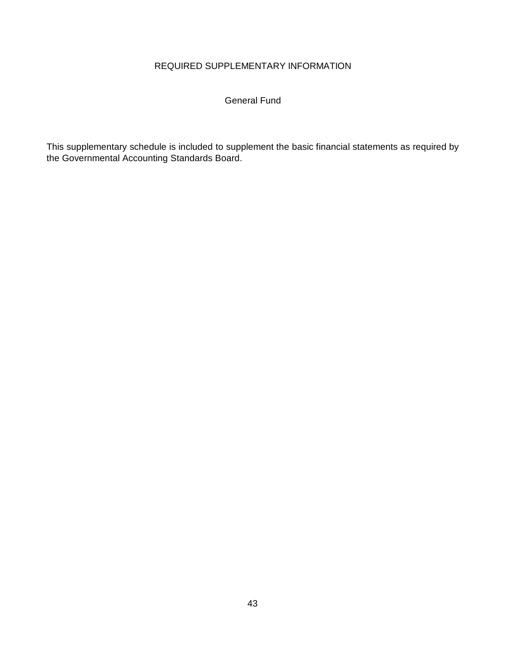# REQUIRED SUPPLEMENTARY INFORMATION

General Fund

This supplementary schedule is included to supplement the basic financial statements as required by the Governmental Accounting Standards Board.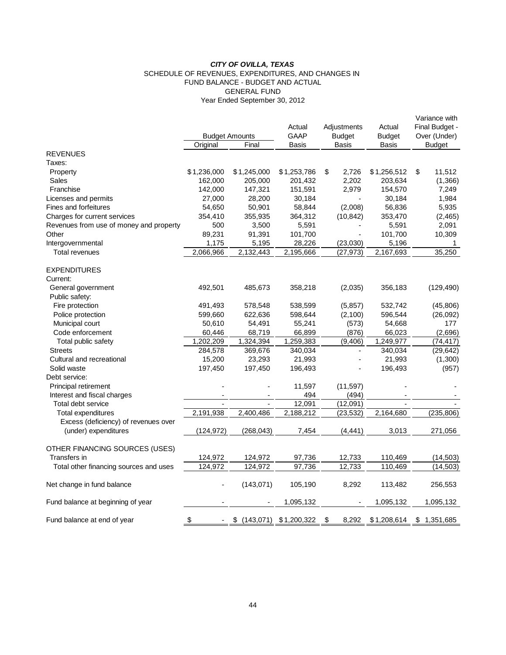#### *CITY OF OVILLA, TEXAS* SCHEDULE OF REVENUES, EXPENDITURES, AND CHANGES IN FUND BALANCE - BUDGET AND ACTUAL GENERAL FUND Year Ended September 30, 2012

|                                         | <b>Budget Amounts</b> |              | Actual<br><b>GAAP</b> | Adjustments<br><b>Budget</b> | Actual<br><b>Budget</b> | Variance with<br>Final Budget -<br>Over (Under) |  |  |
|-----------------------------------------|-----------------------|--------------|-----------------------|------------------------------|-------------------------|-------------------------------------------------|--|--|
|                                         | Original              | Final        | <b>Basis</b>          | <b>Basis</b>                 | <b>Basis</b>            | <b>Budget</b>                                   |  |  |
| <b>REVENUES</b>                         |                       |              |                       |                              |                         |                                                 |  |  |
| Taxes:                                  |                       |              |                       |                              |                         |                                                 |  |  |
| Property                                | \$1,236,000           | \$1,245,000  | \$1,253,786           | \$<br>2,726                  | \$1,256,512             | 11,512<br>\$                                    |  |  |
| <b>Sales</b>                            | 162,000               | 205,000      | 201,432               | 2,202                        | 203,634                 | (1,366)                                         |  |  |
| Franchise                               | 142,000               | 147,321      | 151,591               | 2,979                        | 154,570                 | 7,249                                           |  |  |
| Licenses and permits                    | 27,000                | 28,200       | 30,184                |                              | 30,184                  | 1,984                                           |  |  |
| Fines and forfeitures                   | 54,650                | 50,901       | 58,844                | (2,008)                      | 56,836                  | 5,935                                           |  |  |
| Charges for current services            | 354,410               | 355,935      | 364,312               | (10, 842)                    | 353,470                 | (2,465)                                         |  |  |
| Revenues from use of money and property | 500                   | 3,500        | 5,591                 |                              | 5,591                   | 2,091                                           |  |  |
| Other                                   | 89,231                | 91,391       | 101,700               |                              | 101,700                 | 10,309                                          |  |  |
| Intergovernmental                       | 1,175                 | 5,195        | 28,226                | (23,030)                     | 5,196                   | 1                                               |  |  |
| <b>Total revenues</b>                   | 2,066,966             | 2,132,443    | 2,195,666             | (27, 973)                    | 2,167,693               | 35,250                                          |  |  |
| <b>EXPENDITURES</b>                     |                       |              |                       |                              |                         |                                                 |  |  |
| Current:                                |                       |              |                       |                              |                         |                                                 |  |  |
| General government                      | 492,501               | 485,673      | 358,218               | (2,035)                      | 356,183                 | (129, 490)                                      |  |  |
| Public safety:                          |                       |              |                       |                              |                         |                                                 |  |  |
| Fire protection                         | 491,493               | 578,548      | 538,599               | (5,857)                      | 532,742                 | (45,806)                                        |  |  |
| Police protection                       | 599,660               | 622,636      | 598,644               | (2,100)                      | 596,544                 | (26,092)                                        |  |  |
| Municipal court                         | 50,610                | 54,491       | 55,241                | (573)                        | 54,668                  | 177                                             |  |  |
| Code enforcement                        | 60,446                | 68,719       | 66,899                | (876)                        | 66,023                  | (2,696)                                         |  |  |
| Total public safety                     | 1,202,209             | 1,324,394    | 1,259,383             | (9,406)                      | 1,249,977               | (74, 417)                                       |  |  |
| <b>Streets</b>                          | 284,578               | 369,676      | 340,034               |                              | 340,034                 | (29, 642)                                       |  |  |
| Cultural and recreational               | 15,200                | 23,293       | 21,993                | $\blacksquare$               | 21,993                  | (1,300)                                         |  |  |
| Solid waste                             | 197,450               | 197,450      | 196,493               |                              | 196,493                 | (957)                                           |  |  |
| Debt service:                           |                       |              |                       |                              |                         |                                                 |  |  |
| Principal retirement                    |                       |              | 11,597                | (11, 597)                    |                         |                                                 |  |  |
| Interest and fiscal charges             |                       |              | 494                   | (494)                        |                         |                                                 |  |  |
| Total debt service                      | $\mathbf{r}$          | $\mathbf{r}$ | 12.091                | (12,091)                     | $\mathbf{r}$            |                                                 |  |  |
| Total expenditures                      | 2,191,938             | 2,400,486    | 2,188,212             | (23, 532)                    | 2,164,680               | (235, 806)                                      |  |  |
| Excess (deficiency) of revenues over    |                       |              |                       |                              |                         |                                                 |  |  |
| (under) expenditures                    | (124,972)             | (268, 043)   | 7,454                 | (4, 441)                     | 3,013                   | 271,056                                         |  |  |
| OTHER FINANCING SOURCES (USES)          |                       |              |                       |                              |                         |                                                 |  |  |
| Transfers in                            | 124,972               | 124,972      | 97,736                | 12,733                       | 110,469                 | (14, 503)                                       |  |  |
| Total other financing sources and uses  | 124,972               | 124,972      | 97,736                | 12,733                       | 110,469                 | (14, 503)                                       |  |  |
| Net change in fund balance              |                       | (143, 071)   | 105,190               | 8,292                        | 113,482                 | 256,553                                         |  |  |
| Fund balance at beginning of year       |                       |              | 1,095,132             |                              | 1,095,132               | 1,095,132                                       |  |  |
| Fund balance at end of year             | $\sqrt[6]{2}$         | \$(143,071)  | \$1,200,322           | \$<br>8,292                  | \$1,208,614             | \$1,351,685                                     |  |  |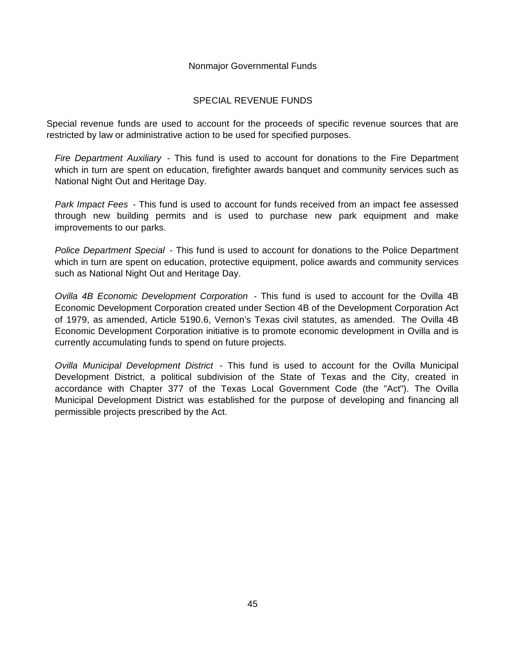#### Nonmajor Governmental Funds

#### SPECIAL REVENUE FUNDS

Special revenue funds are used to account for the proceeds of specific revenue sources that are restricted by law or administrative action to be used for specified purposes.

*Fire Department Auxiliary* - This fund is used to account for donations to the Fire Department which in turn are spent on education, firefighter awards banquet and community services such as National Night Out and Heritage Day.

*Park Impact Fees* - This fund is used to account for funds received from an impact fee assessed through new building permits and is used to purchase new park equipment and make improvements to our parks.

*Police Department Special* - This fund is used to account for donations to the Police Department which in turn are spent on education, protective equipment, police awards and community services such as National Night Out and Heritage Day.

*Ovilla 4B Economic Development Corporation* - This fund is used to account for the Ovilla 4B Economic Development Corporation created under Section 4B of the Development Corporation Act of 1979, as amended, Article 5190.6, Vernon's Texas civil statutes, as amended. The Ovilla 4B Economic Development Corporation initiative is to promote economic development in Ovilla and is currently accumulating funds to spend on future projects.

*Ovilla Municipal Development District* - This fund is used to account for the Ovilla Municipal Development District, a political subdivision of the State of Texas and the City, created in accordance with Chapter 377 of the Texas Local Government Code (the "Act"). The Ovilla Municipal Development District was established for the purpose of developing and financing all permissible projects prescribed by the Act.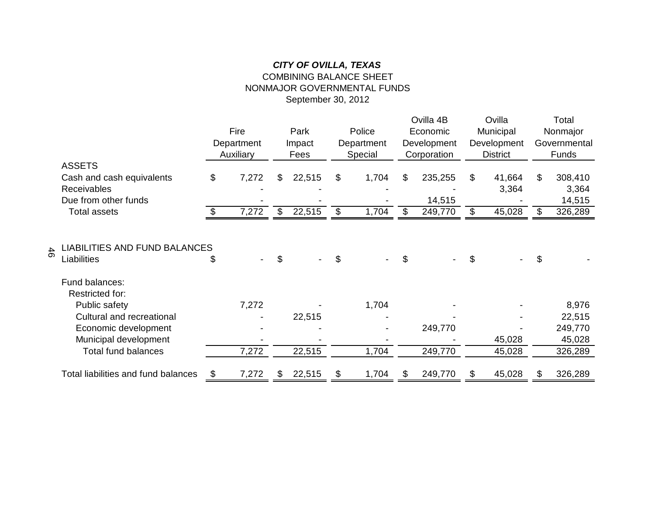# *CITY OF OVILLA, TEXAS* COMBINING BALANCE SHEET NONMAJOR GOVERNMENTAL FUNDS September 30, 2012

|                      |                                                     |             |     |        |       |            |    | Ovilla 4B   |    | Ovilla          |    | Total        |
|----------------------|-----------------------------------------------------|-------------|-----|--------|-------|------------|----|-------------|----|-----------------|----|--------------|
|                      |                                                     | Fire        |     | Park   |       | Police     |    | Economic    |    | Municipal       |    | Nonmajor     |
|                      |                                                     | Department  |     | Impact |       | Department |    | Development |    | Development     |    | Governmental |
|                      |                                                     | Auxiliary   |     | Fees   |       | Special    |    | Corporation |    | <b>District</b> |    | Funds        |
|                      | <b>ASSETS</b>                                       |             |     |        |       |            |    |             |    |                 |    |              |
|                      | Cash and cash equivalents                           | \$<br>7,272 | \$. | 22,515 | \$    | 1,704      | \$ | 235,255     | \$ | 41,664          | S  | 308,410      |
|                      | <b>Receivables</b>                                  |             |     |        |       |            |    |             |    | 3,364           |    | 3,364        |
|                      | Due from other funds                                |             |     |        |       |            |    | 14,515      |    |                 |    | 14,515       |
|                      | <b>Total assets</b>                                 | 7,272       | \$  | 22,515 | $\$\$ | 1,704      |    | 249,770     | \$ | 45,028          | \$ | 326,289      |
| $\ddot{\varepsilon}$ | <b>LIABILITIES AND FUND BALANCES</b><br>Liabilities | \$          | \$  |        | \$    |            | \$ |             | \$ |                 | \$ |              |
|                      | Fund balances:<br>Restricted for:                   |             |     |        |       |            |    |             |    |                 |    |              |
|                      | Public safety                                       | 7,272       |     |        |       | 1,704      |    |             |    |                 |    | 8,976        |
|                      | Cultural and recreational                           |             |     | 22,515 |       |            |    |             |    |                 |    | 22,515       |
|                      | Economic development                                |             |     |        |       |            |    | 249,770     |    |                 |    | 249,770      |
|                      | Municipal development                               |             |     |        |       |            |    |             |    | 45,028          |    | 45,028       |
|                      | <b>Total fund balances</b>                          | 7,272       |     | 22,515 |       | 1,704      |    | 249,770     |    | 45,028          |    | 326,289      |
|                      | Total liabilities and fund balances                 | \$<br>7,272 |     | 22,515 | S     | 1,704      |    | 249,770     | \$ | 45,028          |    | 326,289      |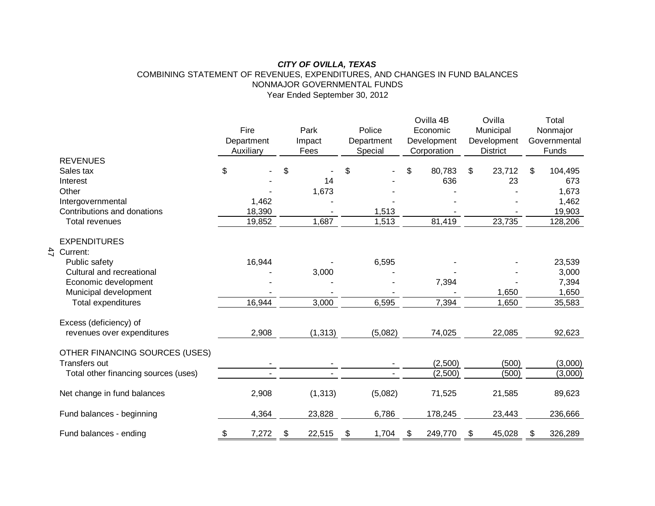#### *CITY OF OVILLA, TEXAS* COMBINING STATEMENT OF REVENUES, EXPENDITURES, AND CHANGES IN FUND BALANCES NONMAJOR GOVERNMENTAL FUNDSYear Ended September 30, 2012

|                                      | Fire<br>Department<br>Auxiliary | Park<br>Impact<br>Fees | Police<br>Department<br>Special | Ovilla 4B<br>Economic<br>Development<br>Corporation | Ovilla<br>Municipal<br>Development<br><b>District</b> | Total<br>Nonmajor<br>Governmental<br>Funds |
|--------------------------------------|---------------------------------|------------------------|---------------------------------|-----------------------------------------------------|-------------------------------------------------------|--------------------------------------------|
| <b>REVENUES</b>                      |                                 |                        |                                 |                                                     |                                                       |                                            |
| Sales tax                            | \$                              | \$                     | \$                              | \$<br>80,783<br>636                                 | \$<br>23,712<br>23                                    | \$<br>104,495                              |
| Interest<br>Other                    |                                 | 14<br>1,673            |                                 |                                                     |                                                       | 673<br>1,673                               |
| Intergovernmental                    | 1,462                           |                        |                                 |                                                     |                                                       | 1,462                                      |
| Contributions and donations          | 18,390                          |                        | 1,513                           |                                                     |                                                       | 19,903                                     |
| Total revenues                       | 19,852                          | 1,687                  | 1,513                           | 81,419                                              | 23,735                                                | 128,206                                    |
|                                      |                                 |                        |                                 |                                                     |                                                       |                                            |
| <b>EXPENDITURES</b>                  |                                 |                        |                                 |                                                     |                                                       |                                            |
| 숙 Current:                           |                                 |                        |                                 |                                                     |                                                       |                                            |
| Public safety                        | 16,944                          |                        | 6,595                           |                                                     |                                                       | 23,539                                     |
| Cultural and recreational            |                                 | 3,000                  |                                 |                                                     |                                                       | 3,000                                      |
| Economic development                 |                                 |                        |                                 | 7,394                                               |                                                       | 7,394                                      |
| Municipal development                |                                 |                        |                                 |                                                     | 1,650                                                 | 1,650                                      |
| Total expenditures                   | 16,944                          | 3,000                  | 6,595                           | 7,394                                               | 1,650                                                 | 35,583                                     |
|                                      |                                 |                        |                                 |                                                     |                                                       |                                            |
| Excess (deficiency) of               |                                 |                        |                                 |                                                     |                                                       |                                            |
| revenues over expenditures           | 2,908                           | (1, 313)               | (5,082)                         | 74,025                                              | 22,085                                                | 92,623                                     |
| OTHER FINANCING SOURCES (USES)       |                                 |                        |                                 |                                                     |                                                       |                                            |
| <b>Transfers out</b>                 |                                 |                        |                                 | (2,500)                                             | (500)                                                 | (3,000)                                    |
| Total other financing sources (uses) |                                 |                        | $\sim$                          | (2,500)                                             | (500)                                                 | (3,000)                                    |
|                                      |                                 |                        |                                 |                                                     |                                                       |                                            |
| Net change in fund balances          | 2,908                           | (1, 313)               | (5,082)                         | 71,525                                              | 21,585                                                | 89,623                                     |
|                                      |                                 |                        |                                 |                                                     |                                                       |                                            |
| Fund balances - beginning            | 4,364                           | 23,828                 | 6,786                           | 178,245                                             | 23,443                                                | 236,666                                    |
| Fund balances - ending               | \$<br>7,272                     | \$<br>22,515           | \$<br>1,704                     | \$<br>249,770                                       | \$<br>45,028                                          | \$<br>326,289                              |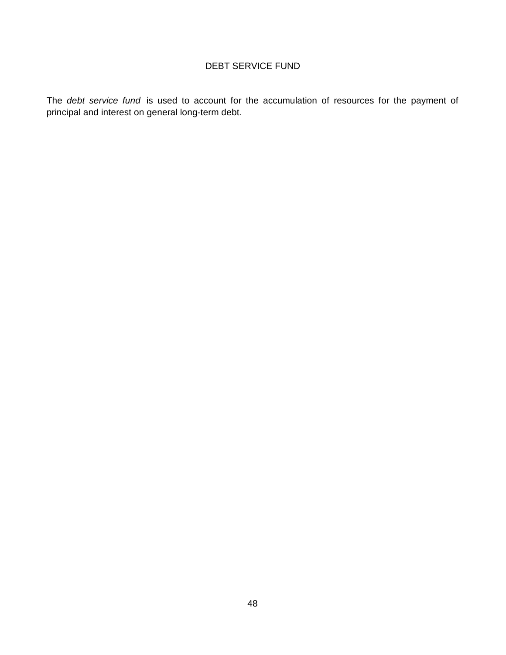# DEBT SERVICE FUND

The *debt service fund* is used to account for the accumulation of resources for the payment of principal and interest on general long-term debt.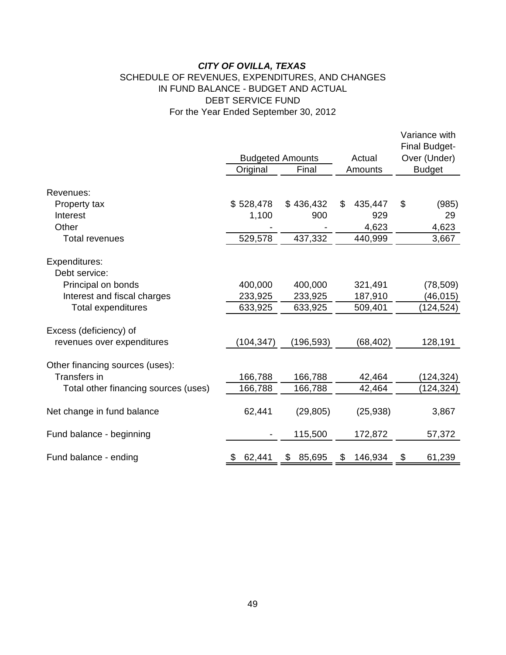# SCHEDULE OF REVENUES, EXPENDITURES, AND CHANGES IN FUND BALANCE - BUDGET AND ACTUAL DEBT SERVICE FUND For the Year Ended September 30, 2012

|                                      |           |                         |               | Variance with<br><b>Final Budget-</b> |  |  |
|--------------------------------------|-----------|-------------------------|---------------|---------------------------------------|--|--|
|                                      |           | <b>Budgeted Amounts</b> | Actual        | Over (Under)                          |  |  |
|                                      | Original  | Final                   | Amounts       | <b>Budget</b>                         |  |  |
|                                      |           |                         |               |                                       |  |  |
| Revenues:                            |           |                         |               |                                       |  |  |
| Property tax                         | \$528,478 | \$436,432               | \$<br>435,447 | \$<br>(985)                           |  |  |
| Interest                             | 1,100     | 900                     | 929           | 29                                    |  |  |
| Other                                |           |                         | 4,623         | 4,623                                 |  |  |
| <b>Total revenues</b>                | 529,578   | 437,332                 | 440,999       | 3,667                                 |  |  |
| Expenditures:                        |           |                         |               |                                       |  |  |
| Debt service:                        |           |                         |               |                                       |  |  |
| Principal on bonds                   | 400,000   | 400,000                 | 321,491       | (78, 509)                             |  |  |
| Interest and fiscal charges          | 233,925   | 233,925                 | 187,910       | (46, 015)                             |  |  |
| <b>Total expenditures</b>            | 633,925   | 633,925                 | 509,401       | (124, 524)                            |  |  |
|                                      |           |                         |               |                                       |  |  |
| Excess (deficiency) of               |           |                         |               |                                       |  |  |
| revenues over expenditures           | (104,347) | (196,593)               | (68, 402)     | 128,191                               |  |  |
|                                      |           |                         |               |                                       |  |  |
| Other financing sources (uses):      |           |                         |               |                                       |  |  |
| Transfers in                         | 166,788   | 166,788                 | 42,464        | (124, 324)                            |  |  |
| Total other financing sources (uses) | 166,788   | 166,788                 | 42,464        | (124, 324)                            |  |  |
| Net change in fund balance           | 62,441    | (29, 805)               | (25, 938)     | 3,867                                 |  |  |
| Fund balance - beginning             |           | 115,500                 | 172,872       | 57,372                                |  |  |
| Fund balance - ending                | 62,441    | 85,695                  | 146,934       | \$<br>61,239                          |  |  |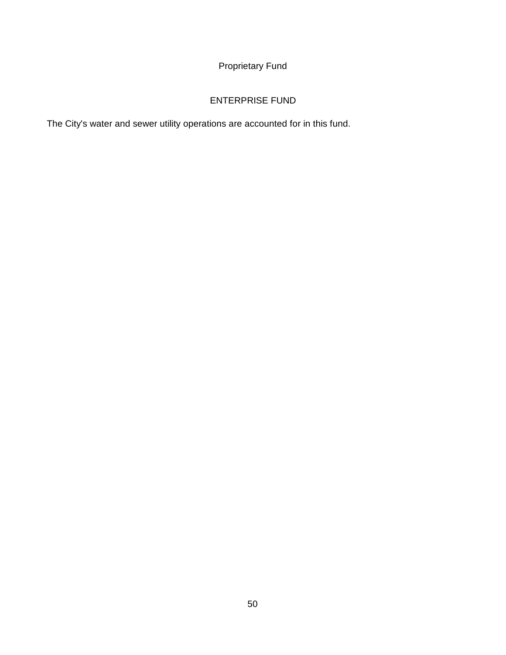# Proprietary Fund

# ENTERPRISE FUND

The City's water and sewer utility operations are accounted for in this fund.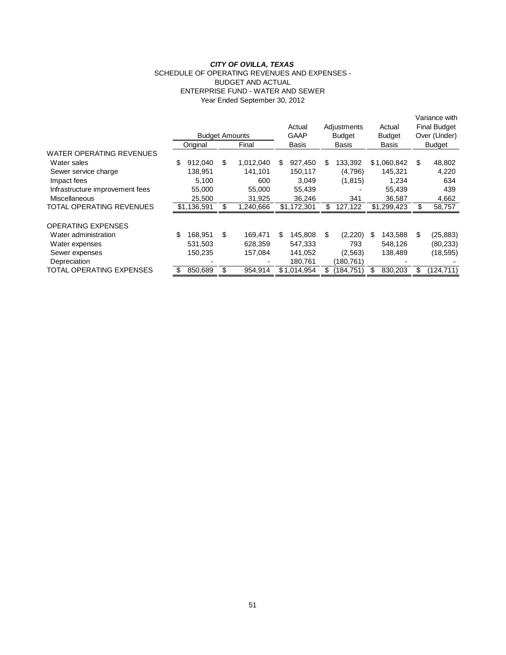#### *CITY OF OVILLA, TEXAS* SCHEDULE OF OPERATING REVENUES AND EXPENSES - BUDGET AND ACTUAL ENTERPRISE FUND - WATER AND SEWER Year Ended September 30, 2012

|                                 | <b>Budget Amounts</b><br>Original |             |    | Final     | Actual<br>GAAP<br><b>Basis</b> |             |   | Adjustments<br><b>Budget</b><br>Basis | Actual<br><b>Budget</b><br><b>Basis</b> |             | Variance with<br><b>Final Budget</b><br>Over (Under)<br><b>Budget</b> |            |
|---------------------------------|-----------------------------------|-------------|----|-----------|--------------------------------|-------------|---|---------------------------------------|-----------------------------------------|-------------|-----------------------------------------------------------------------|------------|
| <b>WATER OPERATING REVENUES</b> |                                   |             |    |           |                                |             |   |                                       |                                         |             |                                                                       |            |
| Water sales                     | \$                                | 912,040     | \$ | 1,012,040 | \$                             | 927,450     | S | 133,392                               |                                         | \$1,060,842 | \$.                                                                   | 48,802     |
| Sewer service charge            |                                   | 138,951     |    | 141,101   |                                | 150,117     |   | (4,796)                               |                                         | 145,321     |                                                                       | 4,220      |
| Impact fees                     |                                   | 5,100       |    | 600       |                                | 3,049       |   | (1, 815)                              |                                         | 1,234       |                                                                       | 634        |
| Infrastructure improvement fees |                                   | 55,000      |    | 55,000    |                                | 55,439      |   |                                       |                                         | 55,439      |                                                                       | 439        |
| Miscellaneous                   |                                   | 25,500      |    | 31.925    |                                | 36,246      |   | 341                                   |                                         | 36,587      |                                                                       | 4,662      |
| TOTAL OPERATING REVENUES        |                                   | \$1,136,591 | \$ | 1,240,666 |                                | \$1,172,301 | S | 127,122                               |                                         | \$1,299,423 | S                                                                     | 58,757     |
| <b>OPERATING EXPENSES</b>       |                                   |             |    |           |                                |             |   |                                       |                                         |             |                                                                       |            |
| Water administration            | \$                                | 168.951     | \$ | 169.471   | \$                             | 145,808     | S | (2,220)                               | S                                       | 143,588     | \$                                                                    | (25, 883)  |
| Water expenses                  |                                   | 531,503     |    | 628,359   |                                | 547,333     |   | 793                                   |                                         | 548,126     |                                                                       | (80, 233)  |
| Sewer expenses                  |                                   | 150.235     |    | 157.084   |                                | 141,052     |   | (2,563)                               |                                         | 138,489     |                                                                       | (18, 595)  |
| Depreciation                    |                                   |             |    |           |                                | 180,761     |   | (180,761)                             |                                         |             |                                                                       |            |
| TOTAL OPERATING EXPENSES        | \$                                | 850.689     | \$ | 954.914   |                                | \$1,014,954 |   | (184,751)                             | S                                       | 830,203     | \$                                                                    | (124, 711) |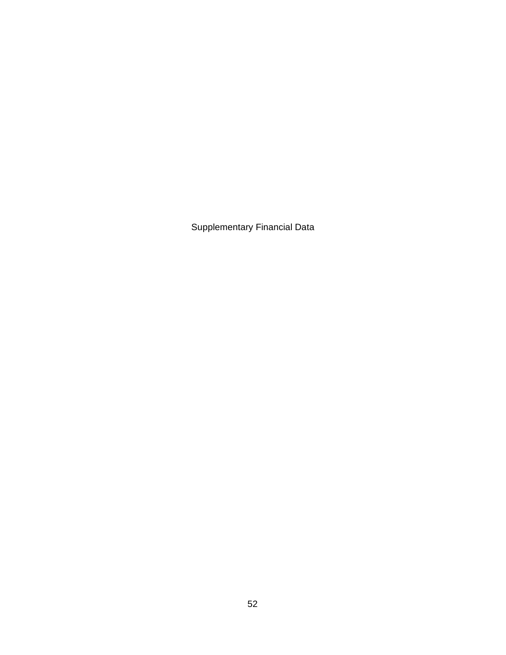Supplementary Financial Data